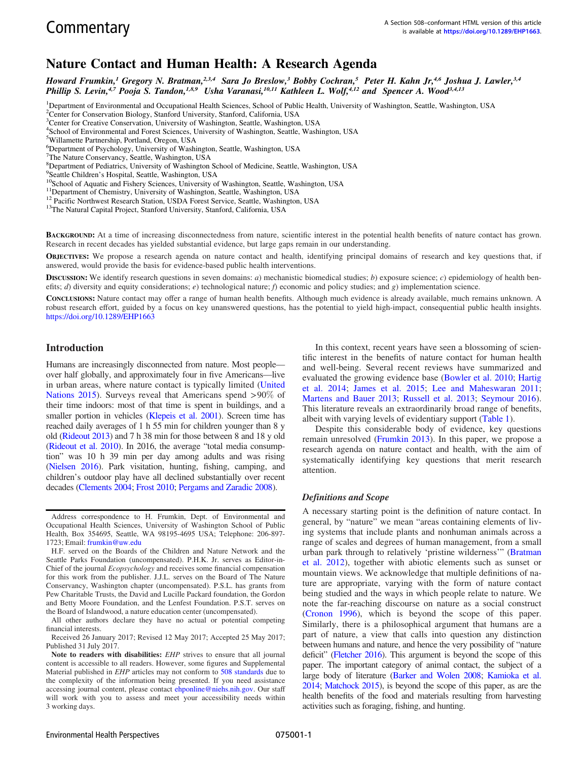# Nature Contact and Human Health: A Research Agenda

Howard Frumkin,<sup>1</sup> Gregory N. Bratman,<sup>2,3,4</sup> Sara Jo Breslow,<sup>3</sup> Bobby Cochran,<sup>5</sup> Peter H. Kahn Jr,<sup>4,6</sup> Joshua J. Lawler,<sup>3,4</sup> Phillip S. Levin,<sup>4,7</sup> Pooja S. Tandon,<sup>1,8,9</sup> Usha Varanasi,<sup>10,11</sup> Kathleen L. Wolf,<sup>4,12</sup> and Spencer A. Wood<sup>3,4,13</sup>

<sup>1</sup>Department of Environmental and Occupational Health Sciences, School of Public Health, University of Washington, Seattle, Washington, USA

6 Department of Psychology, University of Washington, Seattle, Washington, USA

- <sup>8</sup>Department of Pediatrics, University of Washington School of Medicine, Seattle, Washington, USA
- <sup>9</sup>Seattle Children's Hospital, Seattle, Washington, USA
- <sup>10</sup>School of Aquatic and Fishery Sciences, University of Washington, Seattle, Washington, USA<br><sup>11</sup>Department of Chemistry, University of Washington, Seattle, Washington, USA<br><sup>12</sup> Pacific Northwest Research Station, USDA
- 
- 
- 

BACKGROUND: At a time of increasing disconnectedness from nature, scientific interest in the potential health benefits of nature contact has grown. Research in recent decades has yielded substantial evidence, but large gaps remain in our understanding.

OBJECTIVES: We propose a research agenda on nature contact and health, identifying principal domains of research and key questions that, if answered, would provide the basis for evidence-based public health interventions.

**DISCUSSION:** We identify research questions in seven domains: *a*) mechanistic biomedical studies; *b*) exposure science; *c*) epidemiology of health benefits; d) diversity and equity considerations; e) technological nature; f) economic and policy studies; and g) implementation science.

CONCLUSIONS: Nature contact may offer a range of human health benefits. Although much evidence is already available, much remains unknown. A robust research effort, guided by a focus on key unanswered questions, has the potential to yield high-impact, consequential public health insights. <https://doi.org/10.1289/EHP1663>

# Introduction

Humans are increasingly disconnected from nature. Most people over half globally, and approximately four in five Americans—live in urban areas, where nature contact is typically limited [\(United](#page-17-0) [Nations 2015\)](#page-17-0). Surveys reveal that Americans spend >90% of their time indoors: most of that time is spent in buildings, and a smaller portion in vehicles [\(Klepeis et al. 2001\)](#page-14-0). Screen time has reached daily averages of 1 h 55 min for children younger than 8 y old [\(Rideout 2013](#page-15-0)) and 7 h 38 min for those between 8 and 18 y old [\(Rideout et al. 2010](#page-15-1)). In 2016, the average "total media consumption" was 10 h 39 min per day among adults and was rising [\(Nielsen 2016\)](#page-15-2). Park visitation, hunting, fishing, camping, and children's outdoor play have all declined substantially over recent decades [\(Clements 2004](#page-11-0); [Frost 2010](#page-12-0); [Pergams and Zaradic 2008\)](#page-15-3).

In this context, recent years have seen a blossoming of scientific interest in the benefits of nature contact for human health and well-being. Several recent reviews have summarized and evaluated the growing evidence base ([Bowler et al. 2010](#page-10-0); [Hartig](#page-13-0) [et al. 2014;](#page-13-0) [James et al. 2015](#page-13-1); [Lee and Maheswaran 2011](#page-14-1); [Martens and Bauer 2013](#page-15-4); [Russell et al. 2013;](#page-16-0) [Seymour 2016](#page-16-1)). This literature reveals an extraordinarily broad range of benefits, albeit with varying levels of evidentiary support [\(Table 1](#page-1-0)).

Despite this considerable body of evidence, key questions remain unresolved ([Frumkin 2013\)](#page-12-1). In this paper, we propose a research agenda on nature contact and health, with the aim of systematically identifying key questions that merit research attention.

#### Definitions and Scope

A necessary starting point is the definition of nature contact. In general, by "nature" we mean "areas containing elements of living systems that include plants and nonhuman animals across a range of scales and degrees of human management, from a small urban park through to relatively 'pristine wilderness'" [\(Bratman](#page-11-1) [et al. 2012\)](#page-11-1), together with abiotic elements such as sunset or mountain views. We acknowledge that multiple definitions of nature are appropriate, varying with the form of nature contact being studied and the ways in which people relate to nature. We note the far-reaching discourse on nature as a social construct [\(Cronon 1996\)](#page-11-2), which is beyond the scope of this paper. Similarly, there is a philosophical argument that humans are a part of nature, a view that calls into question any distinction between humans and nature, and hence the very possibility of "nature deficit" [\(Fletcher 2016\)](#page-12-2). This argument is beyond the scope of this paper. The important category of animal contact, the subject of a large body of literature [\(Barker and Wolen 2008](#page-10-1); [Kamioka et al.](#page-13-2) [2014;](#page-13-2) [Matchock 2015](#page-15-5)), is beyond the scope of this paper, as are the health benefits of the food and materials resulting from harvesting activities such as foraging, fishing, and hunting.

<sup>&</sup>lt;sup>2</sup>Center for Conservation Biology, Stanford University, Stanford, California, USA

<sup>&</sup>lt;sup>3</sup>Center for Creative Conservation, University of Washington, Seattle, Washington, USA

<sup>4</sup> School of Environmental and Forest Sciences, University of Washington, Seattle, Washington, USA

<sup>5</sup> Willamette Partnership, Portland, Oregon, USA

<sup>7</sup> The Nature Conservancy, Seattle, Washington, USA

Address correspondence to H. Frumkin, Dept. of Environmental and Occupational Health Sciences, University of Washington School of Public Health, Box 354695, Seattle, WA 98195-4695 USA; Telephone: 206-897- 1723; Email: [frumkin@uw.edu](mailto:frumkin@uw.edu)

H.F. served on the Boards of the Children and Nature Network and the Seattle Parks Foundation (uncompensated). P.H.K. Jr. serves as Editor-in-Chief of the journal Ecopsychology and receives some financial compensation for this work from the publisher. J.J.L. serves on the Board of The Nature Conservancy, Washington chapter (uncompensated). P.S.L. has grants from Pew Charitable Trusts, the David and Lucille Packard foundation, the Gordon and Betty Moore Foundation, and the Lenfest Foundation. P.S.T. serves on the Board of Islandwood, a nature education center (uncompensated).

All other authors declare they have no actual or potential competing financial interests.

Received 26 January 2017; Revised 12 May 2017; Accepted 25 May 2017; Published 31 July 2017.

Note to readers with disabilities: EHP strives to ensure that all journal content is accessible to all readers. However, some figures and Supplemental Material published in EHP articles may not conform to [508 standards](http://ehp.niehs.nih.gov/accessibility/) due to the complexity of the information being presented. If you need assistance accessing journal content, please contact [ehponline@niehs.nih.gov.](mailto:ehponline@niehs.nih.gov) Our staff will work with you to assess and meet your accessibility needs within 3 working days.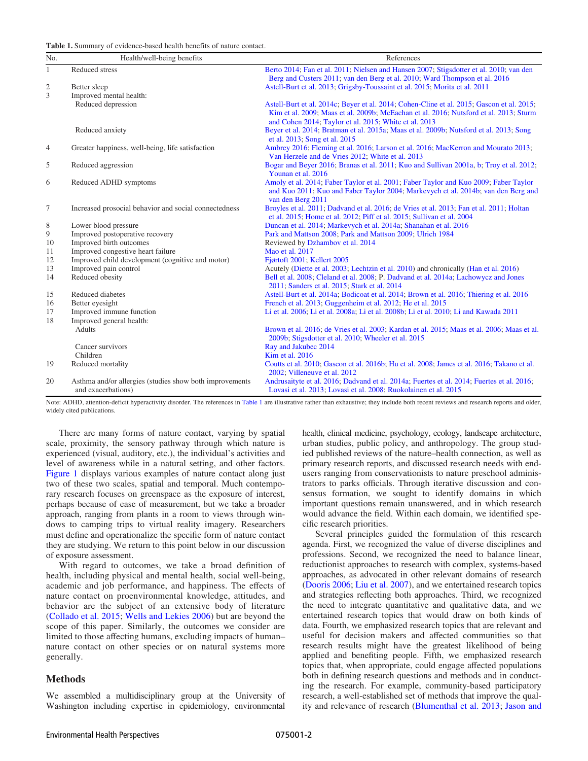#### <span id="page-1-0"></span>Table 1. Summary of evidence-based health benefits of nature contact.

| No.            | Health/well-being benefits                                                    | References                                                                                                                                                                                                                                  |
|----------------|-------------------------------------------------------------------------------|---------------------------------------------------------------------------------------------------------------------------------------------------------------------------------------------------------------------------------------------|
| $\mathbf{1}$   | Reduced stress                                                                | Berto 2014; Fan et al. 2011; Nielsen and Hansen 2007; Stigsdotter et al. 2010; van den<br>Berg and Custers 2011; van den Berg et al. 2010; Ward Thompson et al. 2016                                                                        |
| $\overline{c}$ | Better sleep                                                                  | Astell-Burt et al. 2013; Grigsby-Toussaint et al. 2015; Morita et al. 2011                                                                                                                                                                  |
| 3              | Improved mental health:                                                       |                                                                                                                                                                                                                                             |
|                | Reduced depression                                                            | Astell-Burt et al. 2014c; Beyer et al. 2014; Cohen-Cline et al. 2015; Gascon et al. 2015;<br>Kim et al. 2009; Maas et al. 2009b; McEachan et al. 2016; Nutsford et al. 2013; Sturm<br>and Cohen 2014; Taylor et al. 2015; White et al. 2013 |
|                | Reduced anxiety                                                               | Beyer et al. 2014; Bratman et al. 2015a; Maas et al. 2009b; Nutsford et al. 2013; Song<br>et al. 2013; Song et al. 2015                                                                                                                     |
| $\overline{4}$ | Greater happiness, well-being, life satisfaction                              | Ambrey 2016; Fleming et al. 2016; Larson et al. 2016; MacKerron and Mourato 2013;<br>Van Herzele and de Vries 2012; White et al. 2013                                                                                                       |
| 5              | Reduced aggression                                                            | Bogar and Beyer 2016; Branas et al. 2011; Kuo and Sullivan 2001a, b; Troy et al. 2012;<br>Younan et al. 2016                                                                                                                                |
| 6              | Reduced ADHD symptoms                                                         | Amoly et al. 2014; Faber Taylor et al. 2001; Faber Taylor and Kuo 2009; Faber Taylor<br>and Kuo 2011; Kuo and Faber Taylor 2004; Markevych et al. 2014b; van den Berg and<br>van den Berg 2011                                              |
| $\tau$         | Increased prosocial behavior and social connectedness                         | Broyles et al. 2011; Dadvand et al. 2016; de Vries et al. 2013; Fan et al. 2011; Holtan<br>et al. 2015; Home et al. 2012; Piff et al. 2015; Sullivan et al. 2004                                                                            |
| 8              | Lower blood pressure                                                          | Duncan et al. 2014; Markevych et al. 2014a; Shanahan et al. 2016                                                                                                                                                                            |
| $\mathbf{9}$   | Improved postoperative recovery                                               | Park and Mattson 2008; Park and Mattson 2009; Ulrich 1984                                                                                                                                                                                   |
| 10             | Improved birth outcomes                                                       | Reviewed by Dzhambov et al. 2014                                                                                                                                                                                                            |
| 11             | Improved congestive heart failure                                             | Mao et al. 2017                                                                                                                                                                                                                             |
| 12             | Improved child development (cognitive and motor)                              | Fiørtoft 2001; Kellert 2005                                                                                                                                                                                                                 |
| 13             | Improved pain control                                                         | Acutely (Diette et al. 2003; Lechtzin et al. 2010) and chronically (Han et al. 2016)                                                                                                                                                        |
| 14             | Reduced obesity                                                               | Bell et al. 2008; Cleland et al. 2008; P. Dadvand et al. 2014a; Lachowycz and Jones<br>2011; Sanders et al. 2015; Stark et al. 2014                                                                                                         |
| 15             | Reduced diabetes                                                              | Astell-Burt et al. 2014a; Bodicoat et al. 2014; Brown et al. 2016; Thiering et al. 2016                                                                                                                                                     |
| 16             | Better eyesight                                                               | French et al. 2013; Guggenheim et al. 2012; He et al. 2015                                                                                                                                                                                  |
| 17             | Improved immune function                                                      | Li et al. 2006; Li et al. 2008a; Li et al. 2008b; Li et al. 2010; Li and Kawada 2011                                                                                                                                                        |
| 18             | Improved general health:                                                      |                                                                                                                                                                                                                                             |
|                | Adults                                                                        | Brown et al. 2016; de Vries et al. 2003; Kardan et al. 2015; Maas et al. 2006; Maas et al.<br>2009b; Stigsdotter et al. 2010; Wheeler et al. 2015                                                                                           |
|                | Cancer survivors                                                              | Ray and Jakubec 2014                                                                                                                                                                                                                        |
|                | Children                                                                      | Kim et al. 2016                                                                                                                                                                                                                             |
| 19             | Reduced mortality                                                             | Coutts et al. 2010; Gascon et al. 2016b; Hu et al. 2008; James et al. 2016; Takano et al.<br>2002; Villeneuve et al. 2012                                                                                                                   |
| 20             | Asthma and/or allergies (studies show both improvements<br>and exacerbations) | Andrusaityte et al. 2016; Dadvand et al. 2014a; Fuertes et al. 2014; Fuertes et al. 2016;<br>Lovasi et al. 2013; Lovasi et al. 2008; Ruokolainen et al. 2015                                                                                |

Note: ADHD, attention-deficit hyperactivity disorder. The references in [Table 1](#page-1-0) are illustrative rather than exhaustive; they include both recent reviews and research reports and older, widely cited publications.

There are many forms of nature contact, varying by spatial scale, proximity, the sensory pathway through which nature is experienced (visual, auditory, etc.), the individual's activities and level of awareness while in a natural setting, and other factors. [Figure 1](#page-2-0) displays various examples of nature contact along just two of these two scales, spatial and temporal. Much contemporary research focuses on greenspace as the exposure of interest, perhaps because of ease of measurement, but we take a broader approach, ranging from plants in a room to views through windows to camping trips to virtual reality imagery. Researchers must define and operationalize the specific form of nature contact they are studying. We return to this point below in our discussion of exposure assessment.

With regard to outcomes, we take a broad definition of health, including physical and mental health, social well-being, academic and job performance, and happiness. The effects of nature contact on proenvironmental knowledge, attitudes, and behavior are the subject of an extensive body of literature [\(Collado et al. 2015](#page-11-3); [Wells and Lekies 2006\)](#page-17-1) but are beyond the scope of this paper. Similarly, the outcomes we consider are limited to those affecting humans, excluding impacts of human– nature contact on other species or on natural systems more generally.

## Methods

We assembled a multidisciplinary group at the University of Washington including expertise in epidemiology, environmental health, clinical medicine, psychology, ecology, landscape architecture, urban studies, public policy, and anthropology. The group studied published reviews of the nature–health connection, as well as primary research reports, and discussed research needs with endusers ranging from conservationists to nature preschool administrators to parks officials. Through iterative discussion and consensus formation, we sought to identify domains in which important questions remain unanswered, and in which research would advance the field. Within each domain, we identified specific research priorities.

Several principles guided the formulation of this research agenda. First, we recognized the value of diverse disciplines and professions. Second, we recognized the need to balance linear, reductionist approaches to research with complex, systems-based approaches, as advocated in other relevant domains of research [\(Dooris 2006](#page-12-3); [Liu et al. 2007\)](#page-14-2), and we entertained research topics and strategies reflecting both approaches. Third, we recognized the need to integrate quantitative and qualitative data, and we entertained research topics that would draw on both kinds of data. Fourth, we emphasized research topics that are relevant and useful for decision makers and affected communities so that research results might have the greatest likelihood of being applied and benefiting people. Fifth, we emphasized research topics that, when appropriate, could engage affected populations both in defining research questions and methods and in conducting the research. For example, community-based participatory research, a well-established set of methods that improve the quality and relevance of research ([Blumenthal et al. 2013;](#page-10-2) [Jason and](#page-13-3)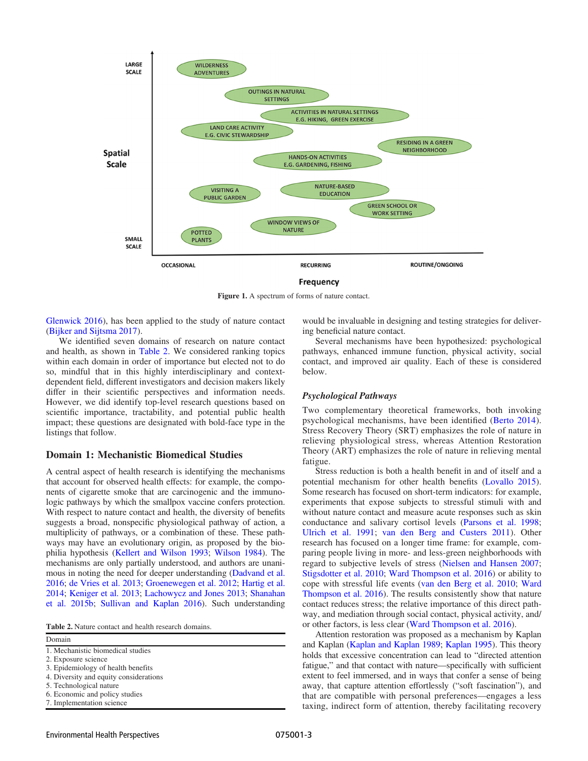<span id="page-2-0"></span>

Figure 1. A spectrum of forms of nature contact.

[Glenwick 2016\)](#page-13-3), has been applied to the study of nature contact [\(Bijker and Sijtsma 2017\)](#page-10-14).

We identified seven domains of research on nature contact and health, as shown in [Table 2.](#page-2-1) We considered ranking topics within each domain in order of importance but elected not to do so, mindful that in this highly interdisciplinary and contextdependent field, different investigators and decision makers likely differ in their scientific perspectives and information needs. However, we did identify top-level research questions based on scientific importance, tractability, and potential public health impact; these questions are designated with bold-face type in the listings that follow.

# Domain 1: Mechanistic Biomedical Studies

A central aspect of health research is identifying the mechanisms that account for observed health effects: for example, the components of cigarette smoke that are carcinogenic and the immunologic pathways by which the smallpox vaccine confers protection. With respect to nature contact and health, the diversity of benefits suggests a broad, nonspecific physiological pathway of action, a multiplicity of pathways, or a combination of these. These pathways may have an evolutionary origin, as proposed by the biophilia hypothesis [\(Kellert and Wilson 1993;](#page-13-12) [Wilson 1984](#page-17-15)). The mechanisms are only partially understood, and authors are unanimous in noting the need for deeper understanding [\(Dadvand et al.](#page-11-8) [2016;](#page-11-8) [de Vries et al. 2013;](#page-11-9) [Groenewegen et al. 2012;](#page-12-20) [Hartig et al.](#page-13-0) [2014;](#page-13-0) [Keniger et al. 2013](#page-13-13); [Lachowycz and Jones 2013](#page-14-21); [Shanahan](#page-16-12) [et al. 2015b](#page-16-12); [Sullivan and Kaplan 2016](#page-16-13)). Such understanding

<span id="page-2-1"></span>Table 2. Nature contact and health research domains.

| Domain                                 |  |  |
|----------------------------------------|--|--|
| 1. Mechanistic biomedical studies      |  |  |
| 2. Exposure science                    |  |  |
| 3. Epidemiology of health benefits     |  |  |
| 4. Diversity and equity considerations |  |  |
| 5. Technological nature                |  |  |
| 6. Economic and policy studies         |  |  |
| 7. Implementation science              |  |  |

would be invaluable in designing and testing strategies for delivering beneficial nature contact.

Several mechanisms have been hypothesized: psychological pathways, enhanced immune function, physical activity, social contact, and improved air quality. Each of these is considered below.

# Psychological Pathways

Two complementary theoretical frameworks, both invoking psychological mechanisms, have been identified ([Berto 2014](#page-10-3)). Stress Recovery Theory (SRT) emphasizes the role of nature in relieving physiological stress, whereas Attention Restoration Theory (ART) emphasizes the role of nature in relieving mental fatigue.

Stress reduction is both a health benefit in and of itself and a potential mechanism for other health benefits [\(Lovallo 2015](#page-14-22)). Some research has focused on short-term indicators: for example, experiments that expose subjects to stressful stimuli with and without nature contact and measure acute responses such as skin conductance and salivary cortisol levels ([Parsons et al. 1998](#page-15-16); [Ulrich et al. 1991](#page-17-16); [van den Berg and Custers 2011\)](#page-17-2). Other research has focused on a longer time frame: for example, comparing people living in more- and less-green neighborhoods with regard to subjective levels of stress ([Nielsen and Hansen 2007](#page-15-6); [Stigsdotter et al. 2010;](#page-16-2) [Ward Thompson et al. 2016\)](#page-17-4) or ability to cope with stressful life events ([van den Berg et al. 2010;](#page-17-3) [Ward](#page-17-4) [Thompson et al. 2016](#page-17-4)). The results consistently show that nature contact reduces stress; the relative importance of this direct pathway, and mediation through social contact, physical activity, and/ or other factors, is less clear ([Ward Thompson et al. 2016\)](#page-17-4).

Attention restoration was proposed as a mechanism by Kaplan and Kaplan [\(Kaplan and Kaplan 1989;](#page-13-14) [Kaplan 1995\)](#page-13-15). This theory holds that excessive concentration can lead to "directed attention fatigue," and that contact with nature—specifically with sufficient extent to feel immersed, and in ways that confer a sense of being away, that capture attention effortlessly ("soft fascination"), and that are compatible with personal preferences—engages a less taxing, indirect form of attention, thereby facilitating recovery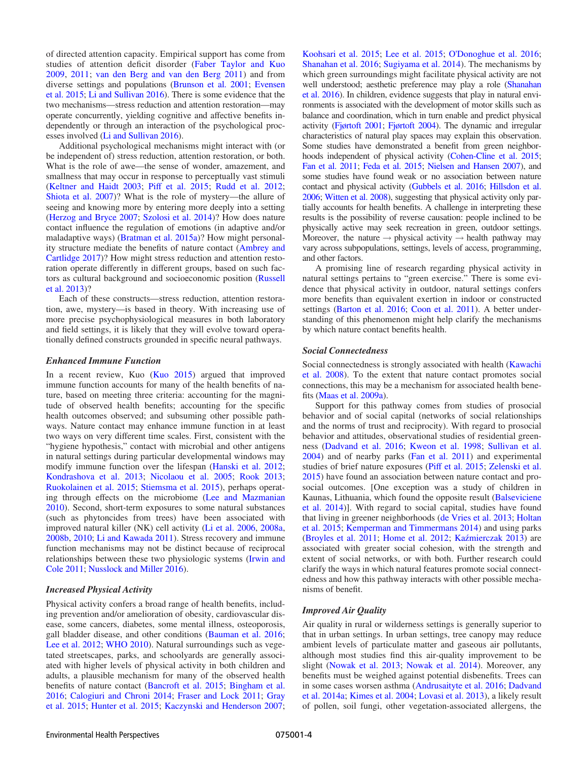of directed attention capacity. Empirical support has come from studies of attention deficit disorder ([Faber Taylor and Kuo](#page-12-9) [2009](#page-12-9), [2011](#page-12-10); [van den Berg and van den Berg 2011](#page-17-10)) and from diverse settings and populations ([Brunson et al. 2001;](#page-11-16) [Evensen](#page-12-21) [et al. 2015](#page-12-21); [Li and Sullivan 2016](#page-14-23)). There is some evidence that the two mechanisms—stress reduction and attention restoration—may operate concurrently, yielding cognitive and affective benefits independently or through an interaction of the psychological processes involved [\(Li and Sullivan 2016\)](#page-14-23).

Additional psychological mechanisms might interact with (or be independent of) stress reduction, attention restoration, or both. What is the role of awe—the sense of wonder, amazement, and smallness that may occur in response to perceptually vast stimuli [\(Keltner and Haidt 2003](#page-13-16); Piff [et al. 2015](#page-15-11); [Rudd et al. 2012](#page-16-14); [Shiota et al. 2007](#page-16-15))? What is the role of mystery—the allure of seeing and knowing more by entering more deeply into a setting [\(Herzog and Bryce 2007](#page-13-17); [Szolosi et al. 2014](#page-16-16))? How does nature contact influence the regulation of emotions (in adaptive and/or maladaptive ways) ([Bratman et al. 2015a\)](#page-11-5)? How might personality structure mediate the benefits of nature contact [\(Ambrey and](#page-10-15) [Cartlidge 2017\)](#page-10-15)? How might stress reduction and attention restoration operate differently in different groups, based on such factors as cultural background and socioeconomic position [\(Russell](#page-16-0) [et al. 2013\)](#page-16-0)?

Each of these constructs—stress reduction, attention restoration, awe, mystery—is based in theory. With increasing use of more precise psychophysiological measures in both laboratory and field settings, it is likely that they will evolve toward operationally defined constructs grounded in specific neural pathways.

#### Enhanced Immune Function

In a recent review, Kuo [\(Kuo 2015](#page-14-24)) argued that improved immune function accounts for many of the health benefits of nature, based on meeting three criteria: accounting for the magnitude of observed health benefits; accounting for the specific health outcomes observed; and subsuming other possible pathways. Nature contact may enhance immune function in at least two ways on very different time scales. First, consistent with the "hygiene hypothesis," contact with microbial and other antigens in natural settings during particular developmental windows may modify immune function over the lifespan [\(Hanski et al. 2012](#page-13-18); [Kondrashova et al. 2013;](#page-14-25) [Nicolaou et al. 2005;](#page-15-17) [Rook 2013](#page-16-17); [Ruokolainen et al. 2015;](#page-16-11) [Stiemsma et al. 2015\)](#page-16-18), perhaps operating through effects on the microbiome [\(Lee and Mazmanian](#page-14-26) [2010](#page-14-26)). Second, short-term exposures to some natural substances (such as phytoncides from trees) have been associated with improved natural killer (NK) cell activity ([Li et al. 2006](#page-14-27), [2008a,](#page-14-13) [2008b,](#page-14-14) [2010;](#page-14-16) [Li and Kawada 2011\)](#page-14-17). Stress recovery and immune function mechanisms may not be distinct because of reciprocal relationships between these two physiologic systems [\(Irwin and](#page-13-19) [Cole 2011](#page-13-19); [Nusslock and Miller 2016\)](#page-15-18).

### Increased Physical Activity

Physical activity confers a broad range of health benefits, including prevention and/or amelioration of obesity, cardiovascular disease, some cancers, diabetes, some mental illness, osteoporosis, gall bladder disease, and other conditions [\(Bauman et al. 2016](#page-10-16); [Lee et al. 2012;](#page-14-28) [WHO 2010](#page-17-17)). Natural surroundings such as vegetated streetscapes, parks, and schoolyards are generally associated with higher levels of physical activity in both children and adults, a plausible mechanism for many of the observed health benefits of nature contact ([Bancroft et al. 2015;](#page-10-17) [Bingham et al.](#page-10-18) [2016](#page-10-18); [Calogiuri and Chroni 2014;](#page-11-17) [Fraser and Lock 2011;](#page-12-22) [Gray](#page-12-23) [et al. 2015](#page-12-23); [Hunter et al. 2015;](#page-13-20) [Kaczynski and Henderson 2007](#page-13-21);

[Koohsari et al. 2015](#page-14-29); [Lee et al. 2015](#page-14-30); [O'Donoghue et al. 2016](#page-15-19); [Shanahan et al. 2016](#page-16-19); [Sugiyama et al. 2014\)](#page-16-20). The mechanisms by which green surroundings might facilitate physical activity are not well understood; aesthetic preference may play a role [\(Shanahan](#page-16-7) [et al. 2016\)](#page-16-7). In children, evidence suggests that play in natural environments is associated with the development of motor skills such as balance and coordination, which in turn enable and predict physical activity ([Fjørtoft 2001](#page-12-13); [Fjørtoft 2004\)](#page-12-24). The dynamic and irregular characteristics of natural play spaces may explain this observation. Some studies have demonstrated a benefit from green neighborhoods independent of physical activity [\(Cohen-Cline et al. 2015](#page-11-4); [Fan et al. 2011](#page-12-4); [Feda et al. 2015;](#page-12-25) [Nielsen and Hansen 2007](#page-15-6)), and some studies have found weak or no association between nature contact and physical activity [\(Gubbels et al. 2016;](#page-12-26) [Hillsdon et al.](#page-13-22) [2006](#page-13-22); [Witten et al. 2008\)](#page-17-18), suggesting that physical activity only partially accounts for health benefits. A challenge in interpreting these results is the possibility of reverse causation: people inclined to be physically active may seek recreation in green, outdoor settings. Moreover, the nature  $\rightarrow$  physical activity  $\rightarrow$  health pathway may vary across subpopulations, settings, levels of access, programming, and other factors.

A promising line of research regarding physical activity in natural settings pertains to "green exercise." There is some evidence that physical activity in outdoor, natural settings confers more benefits than equivalent exertion in indoor or constructed settings ([Barton et al. 2016](#page-10-19); [Coon et al. 2011\)](#page-11-18). A better understanding of this phenomenon might help clarify the mechanisms by which nature contact benefits health.

#### Social Connectedness

Social connectedness is strongly associated with health [\(Kawachi](#page-13-23) [et al. 2008](#page-13-23)). To the extent that nature contact promotes social connections, this may be a mechanism for associated health benefits [\(Maas et al. 2009a\)](#page-14-31).

Support for this pathway comes from studies of prosocial behavior and of social capital (networks of social relationships and the norms of trust and reciprocity). With regard to prosocial behavior and attitudes, observational studies of residential greenness ([Dadvand et al. 2016](#page-11-8); [Kweon et al. 1998;](#page-14-32) [Sullivan et al.](#page-16-6) [2004](#page-16-6)) and of nearby parks [\(Fan et al. 2011\)](#page-12-4) and experimental studies of brief nature exposures (Piff [et al. 2015;](#page-15-11) [Zelenski et al.](#page-17-19) [2015](#page-17-19)) have found an association between nature contact and prosocial outcomes. [One exception was a study of children in Kaunas, Lithuania, which found the opposite result ([Balseviciene](#page-10-20) [et al. 2014\)](#page-10-20)]. With regard to social capital, studies have found that living in greener neighborhoods ([de Vries et al. 2013](#page-11-9); [Holtan](#page-13-4) [et al. 2015](#page-13-4); [Kemperman and Timmermans 2014](#page-13-24)) and using parks [\(Broyles et al. 2011;](#page-11-7) [Home et al. 2012](#page-13-5); Kaźmierczak 2013) are associated with greater social cohesion, with the strength and extent of social networks, or with both. Further research could clarify the ways in which natural features promote social connectedness and how this pathway interacts with other possible mechanisms of benefit.

#### Improved Air Quality

Air quality in rural or wilderness settings is generally superior to that in urban settings. In urban settings, tree canopy may reduce ambient levels of particulate matter and gaseous air pollutants, although most studies find this air-quality improvement to be slight [\(Nowak et al. 2013;](#page-15-20) [Nowak et al. 2014](#page-15-21)). Moreover, any benefits must be weighed against potential disbenefits. Trees can in some cases worsen asthma ([Andrusaityte et al. 2016;](#page-10-13) [Dadvand](#page-11-19) [et al. 2014a](#page-11-19); [Kimes et al. 2004](#page-14-33); [Lovasi et al. 2013](#page-14-19)), a likely result of pollen, soil fungi, other vegetation-associated allergens, the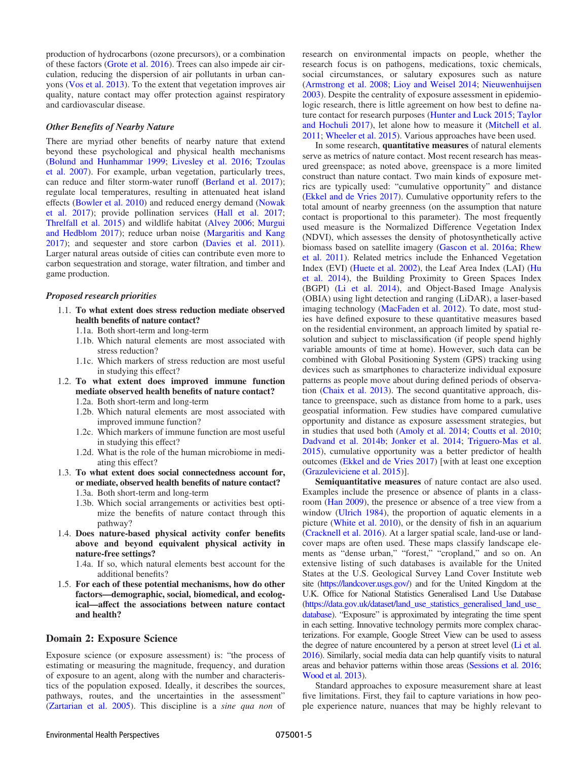production of hydrocarbons (ozone precursors), or a combination of these factors ([Grote et al. 2016\)](#page-12-27). Trees can also impede air circulation, reducing the dispersion of air pollutants in urban canyons ([Vos et al. 2013\)](#page-17-20). To the extent that vegetation improves air quality, nature contact may offer protection against respiratory and cardiovascular disease.

## Other Benefits of Nearby Nature

There are myriad other benefits of nearby nature that extend beyond these psychological and physical health mechanisms [\(Bolund and Hunhammar 1999](#page-10-21); [Livesley et al. 2016;](#page-14-34) [Tzoulas](#page-17-21) [et al. 2007\)](#page-17-21). For example, urban vegetation, particularly trees, can reduce and filter storm-water runoff [\(Berland et al. 2017](#page-10-22)); regulate local temperatures, resulting in attenuated heat island effects ([Bowler et al. 2010\)](#page-10-23) and reduced energy demand ([Nowak](#page-15-22) [et al. 2017](#page-15-22)); provide pollination services [\(Hall et al. 2017](#page-12-28); [Threlfall et al. 2015\)](#page-17-22) and wildlife habitat ([Alvey 2006](#page-10-24); [Murgui](#page-15-23) [and Hedblom 2017\)](#page-15-23); reduce urban noise [\(Margaritis and Kang](#page-14-35) [2017](#page-14-35)); and sequester and store carbon [\(Davies et al. 2011](#page-11-20)). Larger natural areas outside of cities can contribute even more to carbon sequestration and storage, water filtration, and timber and game production.

#### Proposed research priorities

- 1.1. To what extent does stress reduction mediate observed health benefits of nature contact?
	- 1.1a. Both short-term and long-term
	- 1.1b. Which natural elements are most associated with stress reduction?
	- 1.1c. Which markers of stress reduction are most useful in studying this effect?
- 1.2. To what extent does improved immune function mediate observed health benefits of nature contact?
	- 1.2a. Both short-term and long-term
	- 1.2b. Which natural elements are most associated with improved immune function?
	- 1.2c. Which markers of immune function are most useful in studying this effect?
	- 1.2d. What is the role of the human microbiome in mediating this effect?
- 1.3. To what extent does social connectedness account for, or mediate, observed health benefits of nature contact?
	- 1.3a. Both short-term and long-term
	- 1.3b. Which social arrangements or activities best optimize the benefits of nature contact through this pathway?
- 1.4. Does nature-based physical activity confer benefits above and beyond equivalent physical activity in nature-free settings?

1.4a. If so, which natural elements best account for the additional benefits?

1.5. For each of these potential mechanisms, how do other factors—demographic, social, biomedical, and ecological—affect the associations between nature contact and health?

# Domain 2: Exposure Science

Exposure science (or exposure assessment) is: "the process of estimating or measuring the magnitude, frequency, and duration of exposure to an agent, along with the number and characteristics of the population exposed. Ideally, it describes the sources, pathways, routes, and the uncertainties in the assessment" [\(Zartarian et al. 2005\)](#page-17-23). This discipline is a sine qua non of research on environmental impacts on people, whether the research focus is on pathogens, medications, toxic chemicals, social circumstances, or salutary exposures such as nature [\(Armstrong et al. 2008;](#page-10-25) [Lioy and Weisel 2014;](#page-14-36) [Nieuwenhuijsen](#page-15-24) [2003](#page-15-24)). Despite the centrality of exposure assessment in epidemiologic research, there is little agreement on how best to define nature contact for research purposes [\(Hunter and Luck 2015;](#page-13-26) [Taylor](#page-17-24) [and Hochuli 2017](#page-17-24)), let alone how to measure it ([Mitchell et al.](#page-15-25) [2011](#page-15-25); [Wheeler et al. 2015](#page-17-13)). Various approaches have been used.

In some research, quantitative measures of natural elements serve as metrics of nature contact. Most recent research has measured greenspace; as noted above, greenspace is a more limited construct than nature contact. Two main kinds of exposure metrics are typically used: "cumulative opportunity" and distance [\(Ekkel and de Vries 2017\)](#page-12-29). Cumulative opportunity refers to the total amount of nearby greenness (on the assumption that nature contact is proportional to this parameter). The most frequently used measure is the Normalized Difference Vegetation Index (NDVI), which assesses the density of photosynthetically active biomass based on satellite imagery ([Gascon et al. 2016a;](#page-12-30) [Rhew](#page-15-26) [et al. 2011](#page-15-26)). Related metrics include the Enhanced Vegetation Index (EVI) ([Huete et al. 2002\)](#page-13-27), the Leaf Area Index (LAI) [\(Hu](#page-13-28) [et al. 2014\)](#page-13-28), the Building Proximity to Green Spaces Index (BGPI) ([Li et al. 2014](#page-14-17)), and Object-Based Image Analysis (OBIA) using light detection and ranging (LiDAR), a laser-based imaging technology [\(MacFaden et al. 2012\)](#page-14-37). To date, most studies have defined exposure to these quantitative measures based on the residential environment, an approach limited by spatial resolution and subject to misclassification (if people spend highly variable amounts of time at home). However, such data can be combined with Global Positioning System (GPS) tracking using devices such as smartphones to characterize individual exposure patterns as people move about during defined periods of observation [\(Chaix et al. 2013](#page-11-21)). The second quantitative approach, distance to greenspace, such as distance from home to a park, uses geospatial information. Few studies have compared cumulative opportunity and distance as exposure assessment strategies, but in studies that used both ([Amoly et al. 2014](#page-10-9); [Coutts et al. 2010](#page-11-15); [Dadvand et al. 2014b](#page-11-19); [Jonker et al. 2014](#page-13-29); [Triguero-Mas et al.](#page-17-25) [2015](#page-17-25)), cumulative opportunity was a better predictor of health outcomes [\(Ekkel and de Vries 2017](#page-12-29)) [with at least one exception [\(Grazuleviciene et al. 2015\)](#page-12-31)].

Semiquantitative measures of nature contact are also used. Examples include the presence or absence of plants in a classroom [\(Han 2009\)](#page-13-30), the presence or absence of a tree view from a window ([Ulrich 1984\)](#page-17-11), the proportion of aquatic elements in a picture [\(White et al. 2010](#page-17-26)), or the density of fish in an aquarium [\(Cracknell et al. 2016](#page-11-22)). At a larger spatial scale, land-use or landcover maps are often used. These maps classify landscape elements as "dense urban," "forest," "cropland," and so on. An extensive listing of such databases is available for the United States at the U.S. Geological Survey Land Cover Institute web site ([https://landcover.usgs.gov/\)](https://landcover.usgs.gov/) and for the United Kingdom at the U.K. Office for National Statistics Generalised Land Use Database [\(https://data.gov.uk/dataset/land\\_use\\_statistics\\_generalised\\_land\\_use\\_](https://data.gov.uk/dataset/land_use_statistics_generalised_land_use_database) [database\)](https://data.gov.uk/dataset/land_use_statistics_generalised_land_use_database). "Exposure" is approximated by integrating the time spent in each setting. Innovative technology permits more complex characterizations. For example, Google Street View can be used to assess the degree of nature encountered by a person at street level [\(Li et al.](#page-14-38) [2016\)](#page-14-38). Similarly, social media data can help quantify visits to natural areas and behavior patterns within those areas [\(Sessions et al. 2016](#page-16-21); [Wood et al. 2013\)](#page-17-27).

Standard approaches to exposure measurement share at least five limitations. First, they fail to capture variations in how people experience nature, nuances that may be highly relevant to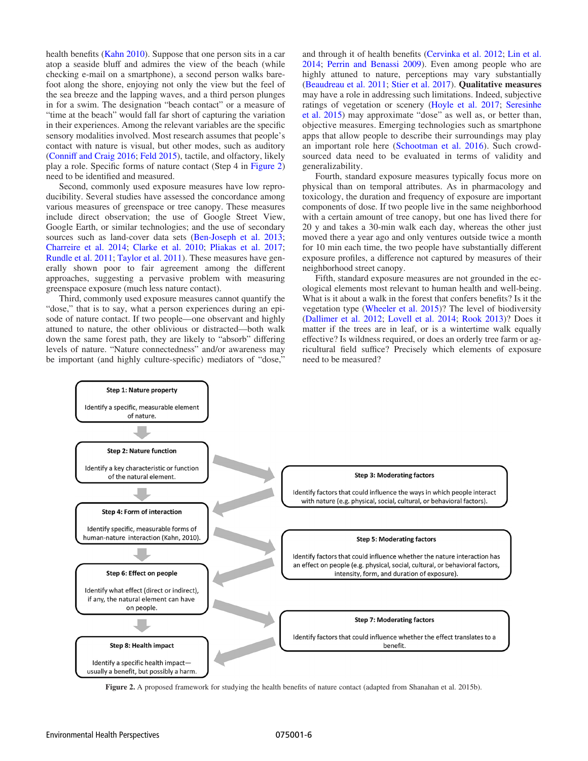<span id="page-5-0"></span>health benefits ([Kahn 2010\)](#page-13-31). Suppose that one person sits in a car atop a seaside bluff and admires the view of the beach (while checking e-mail on a smartphone), a second person walks barefoot along the shore, enjoying not only the view but the feel of the sea breeze and the lapping waves, and a third person plunges in for a swim. The designation "beach contact" or a measure of "time at the beach" would fall far short of capturing the variation in their experiences. Among the relevant variables are the specific sensory modalities involved. Most research assumes that people's contact with nature is visual, but other modes, such as auditory (Conniff [and Craig 2016](#page-11-23); [Feld 2015](#page-12-32)), tactile, and olfactory, likely play a role. Specific forms of nature contact (Step 4 in Figure 2) need to be identified and measured.

Second, commonly used exposure measures have low reproducibility. Several studies have assessed the concordance among various measures of greenspace or tree canopy. These measures include direct observation; the use of Google Street View, Google Earth, or similar technologies; and the use of secondary sources such as land-cover data sets ([Ben-Joseph et al. 2013](#page-10-26); [Charreire et al. 2014;](#page-11-24) [Clarke et al. 2010;](#page-11-25) [Pliakas et al. 2017](#page-15-27); [Rundle et al. 2011](#page-16-22); [Taylor et al. 2011\)](#page-16-23). These measures have generally shown poor to fair agreement among the different approaches, suggesting a pervasive problem with measuring greenspace exposure (much less nature contact).

Third, commonly used exposure measures cannot quantify the "dose," that is to say, what a person experiences during an episode of nature contact. If two people—one observant and highly attuned to nature, the other oblivious or distracted—both walk down the same forest path, they are likely to "absorb" differing levels of nature. "Nature connectedness" and/or awareness may be important (and highly culture-specific) mediators of "dose,"

and through it of health benefits ([Cervinka et al. 2012](#page-11-26); [Lin et al.](#page-14-39) [2014](#page-14-39); [Perrin and Benassi 2009\)](#page-15-28). Even among people who are highly attuned to nature, perceptions may vary substantially [\(Beaudreau et al. 2011](#page-10-27); [Stier et al. 2017\)](#page-16-24). Qualitative measures may have a role in addressing such limitations. Indeed, subjective ratings of vegetation or scenery [\(Hoyle et al. 2017](#page-13-32); [Seresinhe](#page-16-25) [et al. 2015](#page-16-25)) may approximate "dose" as well as, or better than, objective measures. Emerging technologies such as smartphone apps that allow people to describe their surroundings may play an important role here ([Schootman et al. 2016\)](#page-16-26). Such crowdsourced data need to be evaluated in terms of validity and generalizability.

Fourth, standard exposure measures typically focus more on physical than on temporal attributes. As in pharmacology and toxicology, the duration and frequency of exposure are important components of dose. If two people live in the same neighborhood with a certain amount of tree canopy, but one has lived there for 20 y and takes a 30-min walk each day, whereas the other just moved there a year ago and only ventures outside twice a month for 10 min each time, the two people have substantially different exposure profiles, a difference not captured by measures of their neighborhood street canopy.

Fifth, standard exposure measures are not grounded in the ecological elements most relevant to human health and well-being. What is it about a walk in the forest that confers benefits? Is it the vegetation type [\(Wheeler et al. 2015](#page-17-13))? The level of biodiversity [\(Dallimer et al. 2012;](#page-11-27) [Lovell et al. 2014;](#page-14-40) [Rook 2013\)](#page-16-17)? Does it matter if the trees are in leaf, or is a wintertime walk equally effective? Is wildness required, or does an orderly tree farm or agricultural field suffice? Precisely which elements of exposure need to be measured?



Figure 2. A proposed framework for studying the health benefits of nature contact (adapted from Shanahan et al. 2015b).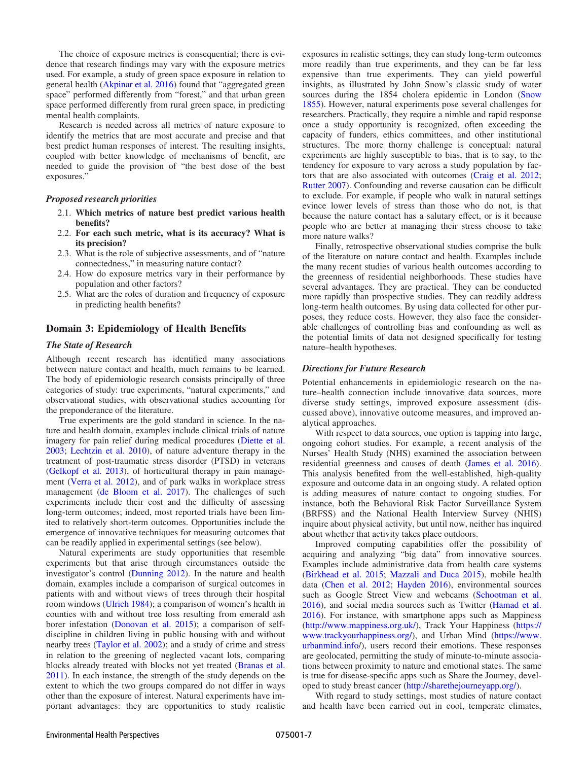The choice of exposure metrics is consequential; there is evidence that research findings may vary with the exposure metrics used. For example, a study of green space exposure in relation to general health [\(Akpinar et al. 2016\)](#page-10-28) found that "aggregated green space" performed differently from "forest," and that urban green space performed differently from rural green space, in predicting mental health complaints.

Research is needed across all metrics of nature exposure to identify the metrics that are most accurate and precise and that best predict human responses of interest. The resulting insights, coupled with better knowledge of mechanisms of benefit, are needed to guide the provision of "the best dose of the best exposures."

#### Proposed research priorities

- 2.1. Which metrics of nature best predict various health benefits?
- 2.2. For each such metric, what is its accuracy? What is its precision?
- 2.3. What is the role of subjective assessments, and of "nature connectedness," in measuring nature contact?
- 2.4. How do exposure metrics vary in their performance by population and other factors?
- 2.5. What are the roles of duration and frequency of exposure in predicting health benefits?

# Domain 3: Epidemiology of Health Benefits

## The State of Research

Although recent research has identified many associations between nature contact and health, much remains to be learned. The body of epidemiologic research consists principally of three categories of study: true experiments, "natural experiments," and observational studies, with observational studies accounting for the preponderance of the literature.

True experiments are the gold standard in science. In the nature and health domain, examples include clinical trials of nature imagery for pain relief during medical procedures ([Diette et al.](#page-11-10) [2003](#page-11-10); [Lechtzin et al. 2010\)](#page-14-11), of nature adventure therapy in the treatment of post-traumatic stress disorder (PTSD) in veterans [\(Gelkopf et al. 2013\)](#page-12-33), of horticultural therapy in pain management [\(Verra et al. 2012\)](#page-17-28), and of park walks in workplace stress management [\(de Bloom et al. 2017\)](#page-11-28). The challenges of such experiments include their cost and the difficulty of assessing long-term outcomes; indeed, most reported trials have been limited to relatively short-term outcomes. Opportunities include the emergence of innovative techniques for measuring outcomes that can be readily applied in experimental settings (see below).

Natural experiments are study opportunities that resemble experiments but that arise through circumstances outside the investigator's control ([Dunning 2012\)](#page-12-34). In the nature and health domain, examples include a comparison of surgical outcomes in patients with and without views of trees through their hospital room windows [\(Ulrich 1984\)](#page-17-11); a comparison of women's health in counties with and without tree loss resulting from emerald ash borer infestation [\(Donovan et al. 2015\)](#page-12-35); a comparison of selfdiscipline in children living in public housing with and without nearby trees [\(Taylor et al. 2002](#page-16-27)); and a study of crime and stress in relation to the greening of neglected vacant lots, comparing blocks already treated with blocks not yet treated ([Branas et al.](#page-11-6) [2011](#page-11-6)). In each instance, the strength of the study depends on the extent to which the two groups compared do not differ in ways other than the exposure of interest. Natural experiments have important advantages: they are opportunities to study realistic

exposures in realistic settings, they can study long-term outcomes more readily than true experiments, and they can be far less expensive than true experiments. They can yield powerful insights, as illustrated by John Snow's classic study of water sources during the 1854 cholera epidemic in London [\(Snow](#page-16-28) [1855](#page-16-28)). However, natural experiments pose several challenges for researchers. Practically, they require a nimble and rapid response once a study opportunity is recognized, often exceeding the capacity of funders, ethics committees, and other institutional structures. The more thorny challenge is conceptual: natural experiments are highly susceptible to bias, that is to say, to the tendency for exposure to vary across a study population by factors that are also associated with outcomes [\(Craig et al. 2012](#page-11-29); [Rutter 2007\)](#page-16-29). Confounding and reverse causation can be difficult to exclude. For example, if people who walk in natural settings evince lower levels of stress than those who do not, is that because the nature contact has a salutary effect, or is it because people who are better at managing their stress choose to take more nature walks?

Finally, retrospective observational studies comprise the bulk of the literature on nature contact and health. Examples include the many recent studies of various health outcomes according to the greenness of residential neighborhoods. These studies have several advantages. They are practical. They can be conducted more rapidly than prospective studies. They can readily address long-term health outcomes. By using data collected for other purposes, they reduce costs. However, they also face the considerable challenges of controlling bias and confounding as well as the potential limits of data not designed specifically for testing nature–health hypotheses.

## Directions for Future Research

Potential enhancements in epidemiologic research on the nature–health connection include innovative data sources, more diverse study settings, improved exposure assessment (discussed above), innovative outcome measures, and improved analytical approaches.

With respect to data sources, one option is tapping into large, ongoing cohort studies. For example, a recent analysis of the Nurses' Health Study (NHS) examined the association between residential greenness and causes of death ([James et al. 2016](#page-13-11)). This analysis benefited from the well-established, high-quality exposure and outcome data in an ongoing study. A related option is adding measures of nature contact to ongoing studies. For instance, both the Behavioral Risk Factor Surveillance System (BRFSS) and the National Health Interview Survey (NHIS) inquire about physical activity, but until now, neither has inquired about whether that activity takes place outdoors.

Improved computing capabilities offer the possibility of acquiring and analyzing "big data" from innovative sources. Examples include administrative data from health care systems [\(Birkhead et al. 2015;](#page-10-29) [Mazzali and Duca 2015](#page-15-29)), mobile health data [\(Chen et al. 2012;](#page-11-30) [Hayden 2016\)](#page-13-33), environmental sources such as Google Street View and webcams ([Schootman et al.](#page-16-26) [2016](#page-16-26)), and social media sources such as Twitter [\(Hamad et al.](#page-12-36) [2016](#page-12-36)). For instance, with smartphone apps such as Mappiness [\(http://www.mappiness.org.uk/](http://www.mappiness.org.uk/)), Track Your Happiness ([https://](https://www.trackyourhappiness.org/) [www.trackyourhappiness.org/](https://www.trackyourhappiness.org/)), and Urban Mind ([https://www.](https://www.urbanmind.info) [urbanmind.info/](https://www.urbanmind.info)), users record their emotions. These responses are geolocated, permitting the study of minute-to-minute associations between proximity to nature and emotional states. The same is true for disease-specific apps such as Share the Journey, developed to study breast cancer [\(http://sharethejourneyapp.org/\)](http://sharethejourneyapp.org/).

With regard to study settings, most studies of nature contact and health have been carried out in cool, temperate climates,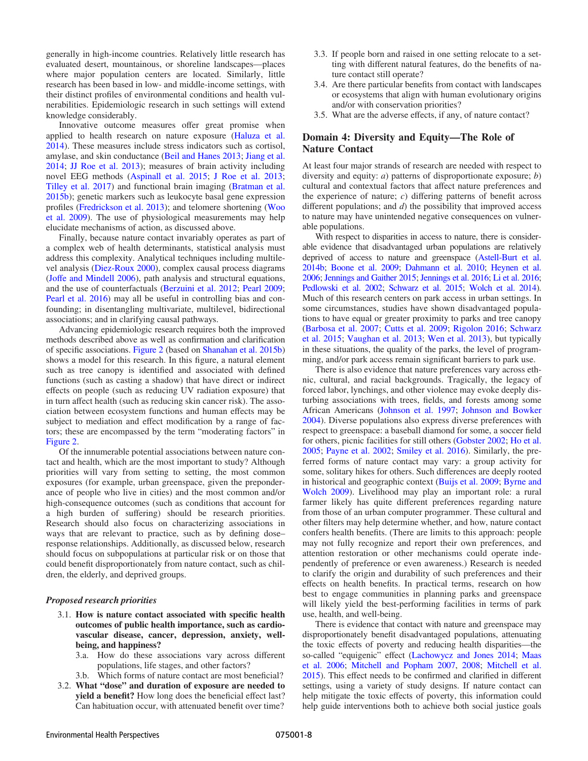generally in high-income countries. Relatively little research has evaluated desert, mountainous, or shoreline landscapes—places where major population centers are located. Similarly, little research has been based in low- and middle-income settings, with their distinct profiles of environmental conditions and health vulnerabilities. Epidemiologic research in such settings will extend knowledge considerably.

Innovative outcome measures offer great promise when applied to health research on nature exposure ([Haluza et al.](#page-12-37) [2014](#page-12-37)). These measures include stress indicators such as cortisol, amylase, and skin conductance [\(Beil and Hanes 2013;](#page-10-30) [Jiang et al.](#page-13-34) [2014](#page-13-34); [JJ Roe et al. 2013\)](#page-16-30); measures of brain activity including novel EEG methods ([Aspinall et al. 2015;](#page-10-31) [J Roe et al. 2013](#page-16-31); [Tilley et al. 2017\)](#page-17-29) and functional brain imaging ([Bratman et al.](#page-11-31) [2015b\)](#page-11-31); genetic markers such as leukocyte basal gene expression profiles [\(Fredrickson et al. 2013](#page-12-38)); and telomere shortening ([Woo](#page-17-30) [et al. 2009\)](#page-17-30). The use of physiological measurements may help elucidate mechanisms of action, as discussed above.

Finally, because nature contact invariably operates as part of a complex web of health determinants, statistical analysis must address this complexity. Analytical techniques including multilevel analysis [\(Diez-Roux 2000\)](#page-12-39), complex causal process diagrams (Joff[e and Mindell 2006](#page-13-35)), path analysis and structural equations, and the use of counterfactuals [\(Berzuini et al. 2012](#page-10-32); [Pearl 2009](#page-15-30); [Pearl et al. 2016](#page-15-31)) may all be useful in controlling bias and confounding; in disentangling multivariate, multilevel, bidirectional associations; and in clarifying causal pathways.

Advancing epidemiologic research requires both the improved methods described above as well as confirmation and clarification of specific associations. [Figure 2](#page-5-0) (based on [Shanahan et al. 2015b\)](#page-16-12) shows a model for this research. In this figure, a natural element such as tree canopy is identified and associated with defined functions (such as casting a shadow) that have direct or indirect effects on people (such as reducing UV radiation exposure) that in turn affect health (such as reducing skin cancer risk). The association between ecosystem functions and human effects may be subject to mediation and effect modification by a range of factors; these are encompassed by the term "moderating factors" in [Figure 2](#page-5-0).

Of the innumerable potential associations between nature contact and health, which are the most important to study? Although priorities will vary from setting to setting, the most common exposures (for example, urban greenspace, given the preponderance of people who live in cities) and the most common and/or high-consequence outcomes (such as conditions that account for a high burden of suffering) should be research priorities. Research should also focus on characterizing associations in ways that are relevant to practice, such as by defining dose– response relationships. Additionally, as discussed below, research should focus on subpopulations at particular risk or on those that could benefit disproportionately from nature contact, such as children, the elderly, and deprived groups.

#### Proposed research priorities

- 3.1. How is nature contact associated with specific health outcomes of public health importance, such as cardiovascular disease, cancer, depression, anxiety, wellbeing, and happiness?
	- 3.a. How do these associations vary across different populations, life stages, and other factors?
	- 3.b. Which forms of nature contact are most beneficial?
- 3.2. What "dose" and duration of exposure are needed to yield a benefit? How long does the beneficial effect last? Can habituation occur, with attenuated benefit over time?
- 3.3. If people born and raised in one setting relocate to a setting with different natural features, do the benefits of nature contact still operate?
- 3.4. Are there particular benefits from contact with landscapes or ecosystems that align with human evolutionary origins and/or with conservation priorities?
- 3.5. What are the adverse effects, if any, of nature contact?

# Domain 4: Diversity and Equity—The Role of Nature Contact

At least four major strands of research are needed with respect to diversity and equity: *a*) patterns of disproportionate exposure; *b*) cultural and contextual factors that affect nature preferences and the experience of nature;  $c$ ) differing patterns of benefit across different populations; and  $d$ ) the possibility that improved access to nature may have unintended negative consequences on vulnerable populations.

With respect to disparities in access to nature, there is considerable evidence that disadvantaged urban populations are relatively deprived of access to nature and greenspace [\(Astell-Burt et al.](#page-10-33) [2014b;](#page-10-33) [Boone et al. 2009](#page-10-34); [Dahmann et al. 2010;](#page-11-32) [Heynen et al.](#page-13-36) [2006](#page-13-36); [Jennings and Gaither 2015;](#page-13-37) [Jennings et al. 2016;](#page-13-38) [Li et al. 2016](#page-14-38); [Pedlowski et al. 2002](#page-15-32); [Schwarz et al. 2015;](#page-16-32) [Wolch et al. 2014\)](#page-17-31). Much of this research centers on park access in urban settings. In some circumstances, studies have shown disadvantaged populations to have equal or greater proximity to parks and tree canopy [\(Barbosa et al. 2007;](#page-10-35) [Cutts et al. 2009](#page-11-33); [Rigolon 2016](#page-15-33); [Schwarz](#page-16-32) [et al. 2015](#page-16-32); [Vaughan et al. 2013;](#page-17-32) [Wen et al. 2013](#page-17-33)), but typically in these situations, the quality of the parks, the level of programming, and/or park access remain significant barriers to park use.

There is also evidence that nature preferences vary across ethnic, cultural, and racial backgrounds. Tragically, the legacy of forced labor, lynchings, and other violence may evoke deeply disturbing associations with trees, fields, and forests among some African Americans [\(Johnson et al. 1997;](#page-13-39) [Johnson and Bowker](#page-13-40) [2004](#page-13-40)). Diverse populations also express diverse preferences with respect to greenspace: a baseball diamond for some, a soccer field for others, picnic facilities for still others [\(Gobster 2002;](#page-12-40) [Ho et al.](#page-13-41) [2005](#page-13-41); [Payne et al. 2002;](#page-15-34) [Smiley et al. 2016\)](#page-16-33). Similarly, the preferred forms of nature contact may vary: a group activity for some, solitary hikes for others. Such differences are deeply rooted in historical and geographic context ([Buijs et al. 2009](#page-11-34); [Byrne and](#page-11-35) [Wolch 2009\)](#page-11-35). Livelihood may play an important role: a rural farmer likely has quite different preferences regarding nature from those of an urban computer programmer. These cultural and other filters may help determine whether, and how, nature contact confers health benefits. (There are limits to this approach: people may not fully recognize and report their own preferences, and attention restoration or other mechanisms could operate independently of preference or even awareness.) Research is needed to clarify the origin and durability of such preferences and their effects on health benefits. In practical terms, research on how best to engage communities in planning parks and greenspace will likely yield the best-performing facilities in terms of park use, health, and well-being.

There is evidence that contact with nature and greenspace may disproportionately benefit disadvantaged populations, attenuating the toxic effects of poverty and reducing health disparities—the so-called "equigenic" effect ([Lachowycz and Jones 2014;](#page-14-41) [Maas](#page-14-18) [et al. 2006;](#page-14-18) [Mitchell and Popham 2007](#page-15-35), [2008](#page-15-36); [Mitchell et al.](#page-15-37) [2015\)](#page-15-37). This effect needs to be confirmed and clarified in different settings, using a variety of study designs. If nature contact can help mitigate the toxic effects of poverty, this information could help guide interventions both to achieve both social justice goals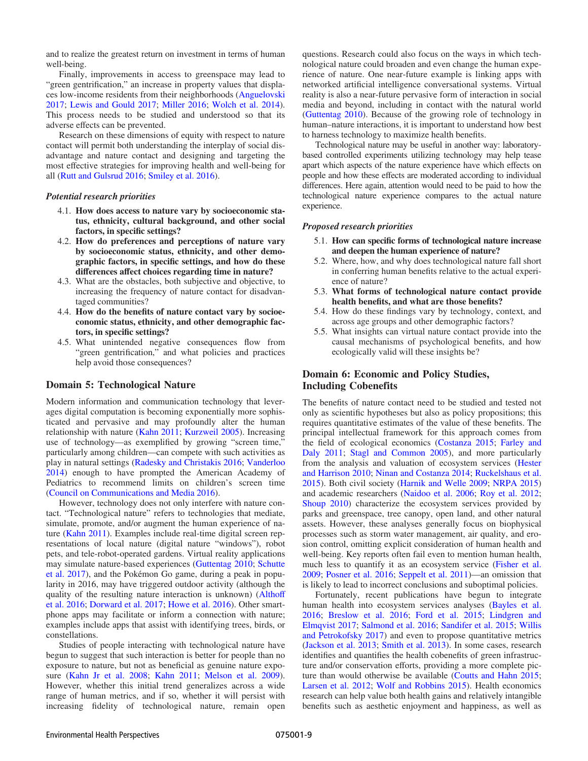and to realize the greatest return on investment in terms of human well-being.

Finally, improvements in access to greenspace may lead to "green gentrification," an increase in property values that displaces low-income residents from their neighborhoods ([Anguelovski](#page-10-36) [2017](#page-10-36); [Lewis and Gould 2017;](#page-14-42) [Miller 2016;](#page-15-38) [Wolch et al. 2014](#page-17-31)). This process needs to be studied and understood so that its adverse effects can be prevented.

Research on these dimensions of equity with respect to nature contact will permit both understanding the interplay of social disadvantage and nature contact and designing and targeting the most effective strategies for improving health and well-being for all ([Rutt and Gulsrud 2016;](#page-16-34) [Smiley et al. 2016](#page-16-33)).

#### Potential research priorities

- 4.1. How does access to nature vary by socioeconomic status, ethnicity, cultural background, and other social factors, in specific settings?
- 4.2. How do preferences and perceptions of nature vary by socioeconomic status, ethnicity, and other demographic factors, in specific settings, and how do these differences affect choices regarding time in nature?
- 4.3. What are the obstacles, both subjective and objective, to increasing the frequency of nature contact for disadvantaged communities?
- 4.4. How do the benefits of nature contact vary by socioeconomic status, ethnicity, and other demographic factors, in specific settings?
- 4.5. What unintended negative consequences flow from "green gentrification," and what policies and practices help avoid those consequences?

## Domain 5: Technological Nature

Modern information and communication technology that leverages digital computation is becoming exponentially more sophisticated and pervasive and may profoundly alter the human relationship with nature ([Kahn 2011;](#page-13-42) [Kurzweil 2005](#page-14-43)). Increasing use of technology—as exemplified by growing "screen time," particularly among children—can compete with such activities as play in natural settings [\(Radesky and Christakis 2016;](#page-15-39) [Vanderloo](#page-17-34) [2014](#page-17-34)) enough to have prompted the American Academy of Pediatrics to recommend limits on children's screen time [\(Council on Communications and Media 2016\)](#page-11-36).

However, technology does not only interfere with nature contact. "Technological nature" refers to technologies that mediate, simulate, promote, and/or augment the human experience of nature ([Kahn 2011](#page-13-42)). Examples include real-time digital screen representations of local nature (digital nature "windows"), robot pets, and tele-robot-operated gardens. Virtual reality applications may simulate nature-based experiences ([Guttentag 2010](#page-12-41); [Schutte](#page-16-35) [et al. 2017](#page-16-35)), and the Pokémon Go game, during a peak in popularity in 2016, may have triggered outdoor activity (although the quality of the resulting nature interaction is unknown) ([Altho](#page-10-37)ff [et al. 2016](#page-10-37); [Dorward et al. 2017;](#page-12-42) [Howe et al. 2016\)](#page-13-43). Other smartphone apps may facilitate or inform a connection with nature; examples include apps that assist with identifying trees, birds, or constellations.

Studies of people interacting with technological nature have begun to suggest that such interaction is better for people than no exposure to nature, but not as beneficial as genuine nature exposure ([Kahn Jr et al. 2008;](#page-13-44) [Kahn 2011;](#page-13-42) [Melson et al. 2009](#page-15-40)). However, whether this initial trend generalizes across a wide range of human metrics, and if so, whether it will persist with increasing fidelity of technological nature, remain open questions. Research could also focus on the ways in which technological nature could broaden and even change the human experience of nature. One near-future example is linking apps with networked artificial intelligence conversational systems. Virtual reality is also a near-future pervasive form of interaction in social media and beyond, including in contact with the natural world [\(Guttentag 2010\)](#page-12-41). Because of the growing role of technology in human–nature interactions, it is important to understand how best to harness technology to maximize health benefits.

Technological nature may be useful in another way: laboratorybased controlled experiments utilizing technology may help tease apart which aspects of the nature experience have which effects on people and how these effects are moderated according to individual differences. Here again, attention would need to be paid to how the technological nature experience compares to the actual nature experience.

## Proposed research priorities

- 5.1. How can specific forms of technological nature increase and deepen the human experience of nature?
- 5.2. Where, how, and why does technological nature fall short in conferring human benefits relative to the actual experience of nature?
- 5.3. What forms of technological nature contact provide health benefits, and what are those benefits?
- 5.4. How do these findings vary by technology, context, and across age groups and other demographic factors?
- 5.5. What insights can virtual nature contact provide into the causal mechanisms of psychological benefits, and how ecologically valid will these insights be?

# Domain 6: Economic and Policy Studies, Including Cobenefits

The benefits of nature contact need to be studied and tested not only as scientific hypotheses but also as policy propositions; this requires quantitative estimates of the value of these benefits. The principal intellectual framework for this approach comes from the field of ecological economics [\(Costanza 2015](#page-11-37); [Farley and](#page-12-43) [Daly 2011](#page-12-43); [Stagl and Common 2005](#page-16-36)), and more particularly from the analysis and valuation of ecosystem services [\(Hester](#page-13-45) [and Harrison 2010](#page-13-45); [Ninan and Costanza 2014;](#page-15-41) [Ruckelshaus et al.](#page-16-37) [2015](#page-16-37)). Both civil society ([Harnik and Welle 2009;](#page-13-46) [NRPA 2015\)](#page-15-42) and academic researchers ([Naidoo et al. 2006;](#page-15-43) [Roy et al. 2012](#page-16-38); [Shoup 2010\)](#page-16-39) characterize the ecosystem services provided by parks and greenspace, tree canopy, open land, and other natural assets. However, these analyses generally focus on biophysical processes such as storm water management, air quality, and erosion control, omitting explicit consideration of human health and well-being. Key reports often fail even to mention human health, much less to quantify it as an ecosystem service [\(Fisher et al.](#page-12-44) [2009](#page-12-44); [Posner et al. 2016;](#page-15-44) [Seppelt et al. 2011\)](#page-16-40)—an omission that is likely to lead to incorrect conclusions and suboptimal policies.

Fortunately, recent publications have begun to integrate human health into ecosystem services analyses ([Bayles et al.](#page-10-38) [2016](#page-10-38); [Breslow et al. 2016;](#page-11-38) [Ford et al. 2015](#page-12-45); [Lindgren and](#page-14-44) [Elmqvist 2017](#page-14-44); [Salmond et al. 2016;](#page-16-41) [Sandifer et al. 2015](#page-16-42); [Willis](#page-17-35) [and Petrokofsky 2017\)](#page-17-35) and even to propose quantitative metrics [\(Jackson et al. 2013](#page-13-47); [Smith et al. 2013\)](#page-16-43). In some cases, research identifies and quantifies the health cobenefits of green infrastructure and/or conservation efforts, providing a more complete picture than would otherwise be available [\(Coutts and Hahn 2015](#page-11-39); [Larsen et al. 2012](#page-14-45); [Wolf and Robbins 2015\)](#page-17-36). Health economics research can help value both health gains and relatively intangible benefits such as aesthetic enjoyment and happiness, as well as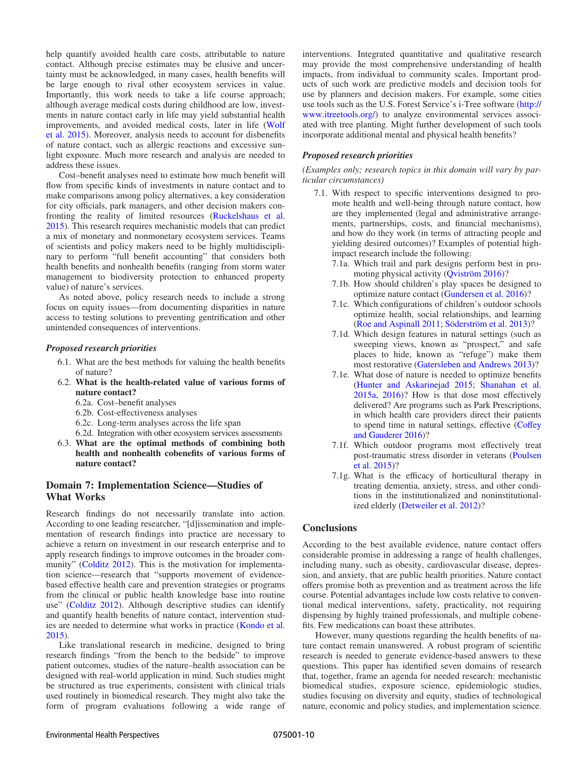help quantify avoided health care costs, attributable to nature contact. Although precise estimates may be elusive and uncertainty must be acknowledged, in many cases, health benefits will be large enough to rival other ecosystem services in value. Importantly, this work needs to take a life course approach; although average medical costs during childhood are low, investments in nature contact early in life may yield substantial health improvements, and avoided medical costs, later in life ([Wolf](#page-17-37) [et al. 2015](#page-17-37)). Moreover, analysis needs to account for disbenefits of nature contact, such as allergic reactions and excessive sunlight exposure. Much more research and analysis are needed to address these issues.

Cost–benefit analyses need to estimate how much benefit will flow from specific kinds of investments in nature contact and to make comparisons among policy alternatives, a key consideration for city officials, park managers, and other decision makers confronting the reality of limited resources ([Ruckelshaus et al.](#page-16-37) [2015](#page-16-37)). This research requires mechanistic models that can predict a mix of monetary and nonmonetary ecosystem services. Teams of scientists and policy makers need to be highly multidisciplinary to perform "full benefit accounting" that considers both health benefits and nonhealth benefits (ranging from storm water management to biodiversity protection to enhanced property value) of nature's services.

As noted above, policy research needs to include a strong focus on equity issues—from documenting disparities in nature access to testing solutions to preventing gentrification and other unintended consequences of interventions.

## Proposed research priorities

- 6.1. What are the best methods for valuing the health benefits of nature?
- 6.2. What is the health-related value of various forms of nature contact?
	- 6.2a. Cost–benefit analyses
	- 6.2b. Cost-effectiveness analyses
	- 6.2c. Long-term analyses across the life span
	- 6.2d. Integration with other ecosystem services assessments
- 6.3. What are the optimal methods of combining both health and nonhealth cobenefits of various forms of nature contact?

# Domain 7: Implementation Science—Studies of What Works

Research findings do not necessarily translate into action. According to one leading researcher, "[d]issemination and implementation of research findings into practice are necessary to achieve a return on investment in our research enterprise and to apply research findings to improve outcomes in the broader community" ([Colditz 2012](#page-11-40)). This is the motivation for implementation science—research that "supports movement of evidencebased effective health care and prevention strategies or programs from the clinical or public health knowledge base into routine use" [\(Colditz 2012\)](#page-11-40). Although descriptive studies can identify and quantify health benefits of nature contact, intervention studies are needed to determine what works in practice ([Kondo et al.](#page-14-46) [2015](#page-14-46)).

Like translational research in medicine, designed to bring research findings "from the bench to the bedside" to improve patient outcomes, studies of the nature–health association can be designed with real-world application in mind. Such studies might be structured as true experiments, consistent with clinical trials used routinely in biomedical research. They might also take the form of program evaluations following a wide range of

interventions. Integrated quantitative and qualitative research may provide the most comprehensive understanding of health impacts, from individual to community scales. Important products of such work are predictive models and decision tools for use by planners and decision makers. For example, some cities use tools such as the U.S. Forest Service's i-Tree software [\(http://](http://www.itreetools.org/) [www.itreetools.org/\)](http://www.itreetools.org/) to analyze environmental services associated with tree planting. Might further development of such tools incorporate additional mental and physical health benefits?

## Proposed research priorities

(Examples only; research topics in this domain will vary by particular circumstances)

- 7.1. With respect to specific interventions designed to promote health and well-being through nature contact, how are they implemented (legal and administrative arrangements, partnerships, costs, and financial mechanisms), and how do they work (in terms of attracting people and yielding desired outcomes)? Examples of potential highimpact research include the following:
	- 7.1a. Which trail and park designs perform best in promoting physical activity [\(Qviström 2016\)](#page-15-45)?
	- 7.1b. How should children's play spaces be designed to optimize nature contact ([Gundersen et al. 2016\)](#page-12-46)?
	- 7.1c. Which configurations of children's outdoor schools optimize health, social relationships, and learning ([Roe and Aspinall 2011;](#page-15-46) [Söderström et al. 2013](#page-16-44))?
	- 7.1d. Which design features in natural settings (such as sweeping views, known as "prospect," and safe places to hide, known as "refuge") make them most restorative ([Gatersleben and Andrews 2013\)](#page-12-47)?
	- 7.1e. What dose of nature is needed to optimize benefits ([Hunter and Askarinejad 2015](#page-13-48); [Shanahan et al.](#page-16-45) [2015a,](#page-16-45) [2016](#page-16-7))? How is that dose most effectively delivered? Are programs such as Park Prescriptions, in which health care providers direct their patients to spend time in natural settings, effective ([Co](#page-11-41)ffey [and Gauderer 2016\)](#page-11-41)?
	- 7.1f. Which outdoor programs most effectively treat post-traumatic stress disorder in veterans [\(Poulsen](#page-15-47) [et al. 2015](#page-15-47))?
	- 7.1g. What is the efficacy of horticultural therapy in treating dementia, anxiety, stress, and other conditions in the institutionalized and noninstitutionalized elderly [\(Detweiler et al. 2012\)](#page-11-42)?

# **Conclusions**

According to the best available evidence, nature contact offers considerable promise in addressing a range of health challenges, including many, such as obesity, cardiovascular disease, depression, and anxiety, that are public health priorities. Nature contact offers promise both as prevention and as treatment across the life course. Potential advantages include low costs relative to conventional medical interventions, safety, practicality, not requiring dispensing by highly trained professionals, and multiple cobenefits. Few medications can boast these attributes.

However, many questions regarding the health benefits of nature contact remain unanswered. A robust program of scientific research is needed to generate evidence-based answers to these questions. This paper has identified seven domains of research that, together, frame an agenda for needed research: mechanistic biomedical studies, exposure science, epidemiologic studies, studies focusing on diversity and equity, studies of technological nature, economic and policy studies, and implementation science.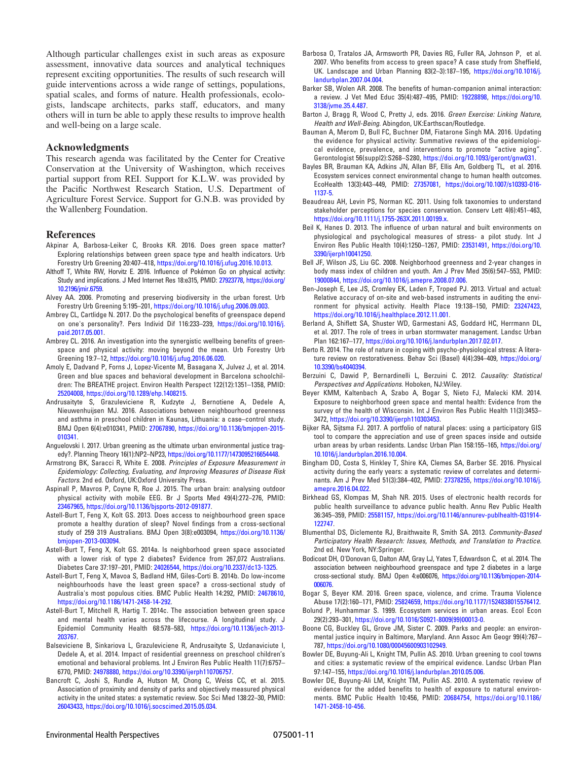Although particular challenges exist in such areas as exposure assessment, innovative data sources and analytical techniques represent exciting opportunities. The results of such research will guide interventions across a wide range of settings, populations, spatial scales, and forms of nature. Health professionals, ecologists, landscape architects, parks staff, educators, and many others will in turn be able to apply these results to improve health and well-being on a large scale.

## Acknowledgments

This research agenda was facilitated by the Center for Creative Conservation at the University of Washington, which receives partial support from REI. Support for K.L.W. was provided by the Pacific Northwest Research Station, U.S. Department of Agriculture Forest Service. Support for G.N.B. was provided by the Wallenberg Foundation.

#### References

- <span id="page-10-28"></span>Akpinar A, Barbosa-Leiker C, Brooks KR. 2016. Does green space matter? Exploring relationships between green space type and health indicators. Urb Forestry Urb Greening 20:407–418, <https://doi.org/10.1016/j.ufug.2016.10.013>.
- <span id="page-10-37"></span>Althoff T, White RW, Horvitz E. 2016. Influence of Pokémon Go on physical activity: Study and implications. J Med Internet Res 18:e315, PMID: [27923778](https://www.ncbi.nlm.nih.gov/pubmed/27923778), [https://doi.org/](https://doi.org/10.2196/jmir.6759) [10.2196/jmir.6759](https://doi.org/10.2196/jmir.6759).
- <span id="page-10-24"></span>Alvey AA. 2006. Promoting and preserving biodiversity in the urban forest. Urb Forestry Urb Greening 5:195–201, [https://doi.org/10.1016/j.ufug.2006.09.003.](https://doi.org/10.1016/j.ufug.2006.09.003)
- <span id="page-10-7"></span>Ambrey CL, Cartlidge N. 2017. Do the psychological benefits of greenspace depend on one's personality?. Pers Individ Dif 116:233–239, [https://doi.org/10.1016/j.](https://doi.org/10.1016/j.paid.2017.05.001) [paid.2017.05.001.](https://doi.org/10.1016/j.paid.2017.05.001)
- <span id="page-10-15"></span>Ambrey CL. 2016. An investigation into the synergistic wellbeing benefits of greenspace and physical activity: moving beyond the mean. Urb Forestry Urb Greening 19:7–12, <https://doi.org/10.1016/j.ufug.2016.06.020>.
- <span id="page-10-9"></span>Amoly E, Dadvand P, Forns J, Lopez-Vicente M, Basagana X, Julvez J, et al. 2014. Green and blue spaces and behavioral development in Barcelona schoolchildren: The BREATHE project. Environ Health Perspect 122(12):1351–1358, PMID: [25204008,](https://www.ncbi.nlm.nih.gov/pubmed/25204008) <https://doi.org/10.1289/ehp.1408215>.
- <span id="page-10-13"></span>Andrusaityte S, Grazuleviciene R, Kudzyte J, Bernotiene A, Dedele A, Nieuwenhuijsen MJ. 2016. Associations between neighbourhood greenness and asthma in preschool children in Kaunas, Lithuania: a case–control study. BMJ Open 6(4):e010341, PMID: [27067890](https://www.ncbi.nlm.nih.gov/pubmed/27067890), [https://doi.org/10.1136/bmjopen-2015-](https://doi.org/10.1136/bmjopen-2015-010341) [010341.](https://doi.org/10.1136/bmjopen-2015-010341)
- <span id="page-10-36"></span>Anguelovski I. 2017. Urban greening as the ultimate urban environmental justice tragedy?. Planning Theory 16(1):NP2–NP23, [https://doi.org/10.1177/1473095216654448.](https://doi.org/10.1177/1473095216654448)
- <span id="page-10-25"></span>Armstrong BK, Saracci R, White E. 2008. Principles of Exposure Measurement in Epidemiology: Collecting, Evaluating, and Improving Measures of Disease Risk Factors. 2nd ed. Oxford, UK:Oxford University Press.
- <span id="page-10-31"></span>Aspinall P, Mavros P, Coyne R, Roe J. 2015. The urban brain: analysing outdoor physical activity with mobile EEG. Br J Sports Med 49(4):272–276, PMID: [23467965,](https://www.ncbi.nlm.nih.gov/pubmed/23467965) <https://doi.org/10.1136/bjsports-2012-091877>.
- <span id="page-10-4"></span>Astell-Burt T, Feng X, Kolt GS. 2013. Does access to neighbourhood green space promote a healthy duration of sleep? Novel findings from a cross-sectional study of 259 319 Australians. BMJ Open 3(8):e003094, [https://doi.org/10.1136/](https://doi.org/10.1136/bmjopen-2013-003094) [bmjopen-2013-003094.](https://doi.org/10.1136/bmjopen-2013-003094)
- <span id="page-10-11"></span>Astell-Burt T, Feng X, Kolt GS. 2014a. Is neighborhood green space associated with a lower risk of type 2 diabetes? Evidence from 267,072 Australians. Diabetes Care 37:197–201, PMID: [24026544,](https://www.ncbi.nlm.nih.gov/pubmed/24026544) [https://doi.org/10.2337/dc13-1325.](https://doi.org/10.2337/dc13-1325)
- <span id="page-10-33"></span>Astell-Burt T, Feng X, Mavoa S, Badland HM, Giles-Corti B. 2014b. Do low-income neighbourhoods have the least green space? a cross-sectional study of Australia's most populous cities. BMC Public Health 14:292, PMID: [24678610](https://www.ncbi.nlm.nih.gov/pubmed/24678610), [https://doi.org/10.1186/1471-2458-14-292.](https://doi.org/10.1186/1471-2458-14-292)
- <span id="page-10-5"></span>Astell-Burt T, Mitchell R, Hartig T. 2014c. The association between green space and mental health varies across the lifecourse. A longitudinal study. J Epidemiol Community Health 68:578–583, [https://doi.org/10.1136/jech-2013-](https://doi.org/10.1136/jech-2013-203767) [203767.](https://doi.org/10.1136/jech-2013-203767)
- <span id="page-10-20"></span>Balseviciene B, Sinkariova L, Grazuleviciene R, Andrusaityte S, Uzdanaviciute I, Dedele A, et al. 2014. Impact of residential greenness on preschool children's emotional and behavioral problems. Int J Environ Res Public Health 11(7):6757– 6770, PMID: [24978880,](https://www.ncbi.nlm.nih.gov/pubmed/24978880) [https://doi.org/10.3390/ijerph110706757.](https://doi.org/10.3390/ijerph110706757)
- <span id="page-10-17"></span>Bancroft C, Joshi S, Rundle A, Hutson M, Chong C, Weiss CC, et al. 2015. Association of proximity and density of parks and objectively measured physical activity in the united states: a systematic review. Soc Sci Med 138:22–30, PMID: [26043433](https://www.ncbi.nlm.nih.gov/pubmed/26043433), <https://doi.org/10.1016/j.socscimed.2015.05.034>.
- <span id="page-10-35"></span>Barbosa O, Tratalos JA, Armsworth PR, Davies RG, Fuller RA, Johnson P, et al. 2007. Who benefits from access to green space? A case study from Sheffield, UK. Landscape and Urban Planning 83(2–3):187–195, [https://doi.org/10.1016/j.](https://doi.org/10.1016/j.landurbplan.2007.04.004) [landurbplan.2007.04.004.](https://doi.org/10.1016/j.landurbplan.2007.04.004)
- <span id="page-10-1"></span>Barker SB, Wolen AR. 2008. The benefits of human-companion animal interaction: a review. J Vet Med Educ 35(4):487–495, PMID: [19228898](https://www.ncbi.nlm.nih.gov/pubmed/19228898), [https://doi.org/10.](https://doi.org/10.3138/jvme.35.4.487) [3138/jvme.35.4.487](https://doi.org/10.3138/jvme.35.4.487).
- <span id="page-10-19"></span>Barton J, Bragg R, Wood C, Pretty J, eds. 2016. Green Exercise: Linking Nature, Health and Well-Being. Abingdon, UK:Earthscan/Routledge.
- <span id="page-10-16"></span>Bauman A, Merom D, Bull FC, Buchner DM, Fiatarone Singh MA. 2016. Updating the evidence for physical activity: Summative reviews of the epidemiological evidence, prevalence, and interventions to promote "active aging". Gerontologist 56(suppl2):S268–S280, <https://doi.org/10.1093/geront/gnw031>.
- <span id="page-10-38"></span>Bayles BR, Brauman KA, Adkins JN, Allan BF, Ellis Am, Goldberg TL, et al. 2016. Ecosystem services connect environmental change to human health outcomes. EcoHealth 13(3):443–449, PMID: [27357081](https://www.ncbi.nlm.nih.gov/pubmed/27357081), [https://doi.org/10.1007/s10393-016-](https://doi.org/10.1007/s10393-016-1137-5) [1137-5.](https://doi.org/10.1007/s10393-016-1137-5)
- <span id="page-10-27"></span>Beaudreau AH, Levin PS, Norman KC. 2011. Using folk taxonomies to understand stakeholder perceptions for species conservation. Conserv Lett 4(6):451–463, <https://doi.org/10.1111/j.1755-263X.2011.00199.x>.
- <span id="page-10-30"></span>Beil K, Hanes D. 2013. The influence of urban natural and built environments on physiological and psychological measures of stress- a pilot study. Int J Environ Res Public Health 10(4):1250–1267, PMID: [23531491,](https://www.ncbi.nlm.nih.gov/pubmed/23531491) [https://doi.org/10.](https://doi.org/10.3390/ijerph10041250) [3390/ijerph10041250.](https://doi.org/10.3390/ijerph10041250)
- <span id="page-10-10"></span>Bell JF, Wilson JS, Liu GC. 2008. Neighborhood greenness and 2-year changes in body mass index of children and youth. Am J Prev Med 35(6):547–553, PMID: [19000844,](https://www.ncbi.nlm.nih.gov/pubmed/19000844) <https://doi.org/10.1016/j.amepre.2008.07.006>.
- <span id="page-10-26"></span>Ben-Joseph E, Lee JS, Cromley EK, Laden F, Troped PJ. 2013. Virtual and actual: Relative accuracy of on-site and web-based instruments in auditing the environment for physical activity. Health Place 19:138–150, PMID: [23247423](https://www.ncbi.nlm.nih.gov/pubmed/23247423), [https://doi.org/10.1016/j.healthplace.2012.11.001.](https://doi.org/10.1016/j.healthplace.2012.11.001)
- <span id="page-10-22"></span>Berland A, Shiflett SA, Shuster WD, Garmestani AS, Goddard HC, Herrmann DL, et al. 2017. The role of trees in urban stormwater management. Landsc Urban Plan 162:167–177, [https://doi.org/10.1016/j.landurbplan.2017.02.017.](https://doi.org/10.1016/j.landurbplan.2017.02.017)
- <span id="page-10-3"></span>Berto R. 2014. The role of nature in coping with psycho-physiological stress: A literature review on restorativeness. Behav Sci (Basel) 4(4):394-409, [https://doi.org/](https://doi.org/10.3390/bs4040394) [10.3390/bs4040394.](https://doi.org/10.3390/bs4040394)
- <span id="page-10-32"></span>Berzuini C, Dawid P, Bernardinelli L, Berzuini C. 2012. Causality: Statistical Perspectives and Applications. Hoboken, NJ:Wiley.
- <span id="page-10-6"></span>Beyer KMM, Kaltenbach A, Szabo A, Bogar S, Nieto FJ, Malecki KM. 2014. Exposure to neighborhood green space and mental health: Evidence from the survey of the health of Wisconsin. Int J Environ Res Public Health 11(3):3453– 3472, [https://doi.org/10.3390/ijerph110303453.](https://doi.org/10.3390/ijerph110303453)
- <span id="page-10-14"></span>Bijker RA, Sijtsma FJ. 2017. A portfolio of natural places: using a participatory GIS tool to compare the appreciation and use of green spaces inside and outside urban areas by urban residents. Landsc Urban Plan 158:155–165, [https://doi.org/](https://doi.org/10.1016/j.landurbplan.2016.10.004) [10.1016/j.landurbplan.2016.10.004](https://doi.org/10.1016/j.landurbplan.2016.10.004).
- <span id="page-10-18"></span>Bingham DD, Costa S, Hinkley T, Shire KA, Clemes SA, Barber SE. 2016. Physical activity during the early years: a systematic review of correlates and determinants. Am J Prev Med 51(3):384–402, PMID: [27378255](https://www.ncbi.nlm.nih.gov/pubmed/27378255), [https://doi.org/10.1016/j.](https://doi.org/10.1016/j.amepre.2016.04.022) [amepre.2016.04.022.](https://doi.org/10.1016/j.amepre.2016.04.022)
- <span id="page-10-29"></span>Birkhead GS, Klompas M, Shah NR. 2015. Uses of electronic health records for public health surveillance to advance public health. Annu Rev Public Health 36:345–359, PMID: [25581157,](https://www.ncbi.nlm.nih.gov/pubmed/25581157) [https://doi.org/10.1146/annurev-publhealth-031914-](https://doi.org/10.1146/annurev-publhealth-031914-122747) [122747.](https://doi.org/10.1146/annurev-publhealth-031914-122747)
- <span id="page-10-2"></span>Blumenthal DS, Diclemente RJ, Braithwaite R, Smith SA. 2013. Community-Based Participatory Health Research: Issues, Methods, and Translation to Practice. 2nd ed. New York, NY:Springer.
- <span id="page-10-12"></span>Bodicoat DH, O'Donovan G, Dalton AM, Gray LJ, Yates T, Edwardson C, et al. 2014. The association between neighbourhood greenspace and type 2 diabetes in a large cross-sectional study. BMJ Open 4:e006076, [https://doi.org/10.1136/bmjopen-2014-](https://doi.org/10.1136/bmjopen-2014-006076) [006076.](https://doi.org/10.1136/bmjopen-2014-006076)
- <span id="page-10-8"></span>Bogar S, Beyer KM. 2016. Green space, violence, and crime. Trauma Violence Abuse 17(2):160–171, PMID: [25824659](https://www.ncbi.nlm.nih.gov/pubmed/25824659), [https://doi.org/10.1177/1524838015576412.](https://doi.org/10.1177/1524838015576412)
- <span id="page-10-21"></span>Bolund P, Hunhammar S. 1999. Ecosystem services in urban areas. Ecol Econ 29(2):293–301, [https://doi.org/10.1016/S0921-8009\(99\)00013-0](https://doi.org/10.1016/S0921-8009(99)00013-0).
- <span id="page-10-34"></span>Boone CG, Buckley GL, Grove JM, Sister C. 2009. Parks and people: an environmental justice inquiry in Baltimore, Maryland. Ann Assoc Am Geogr 99(4):767– 787, <https://doi.org/10.1080/00045600903102949>.
- <span id="page-10-0"></span>Bowler DE, Buyung-Ali L, Knight TM, Pullin AS. 2010. Urban greening to cool towns and cities: a systematic review of the empirical evidence. Landsc Urban Plan 97:147–155, <https://doi.org/10.1016/j.landurbplan.2010.05.006>.
- <span id="page-10-23"></span>Bowler DE, Buyung-Ali LM, Knight TM, Pullin AS. 2010. A systematic review of evidence for the added benefits to health of exposure to natural environments. BMC Public Health 10:456, PMID: [20684754,](https://www.ncbi.nlm.nih.gov/pubmed/20684754) [https://doi.org/10.1186/](https://doi.org/10.1186/1471-2458-10-456) [1471-2458-10-456](https://doi.org/10.1186/1471-2458-10-456).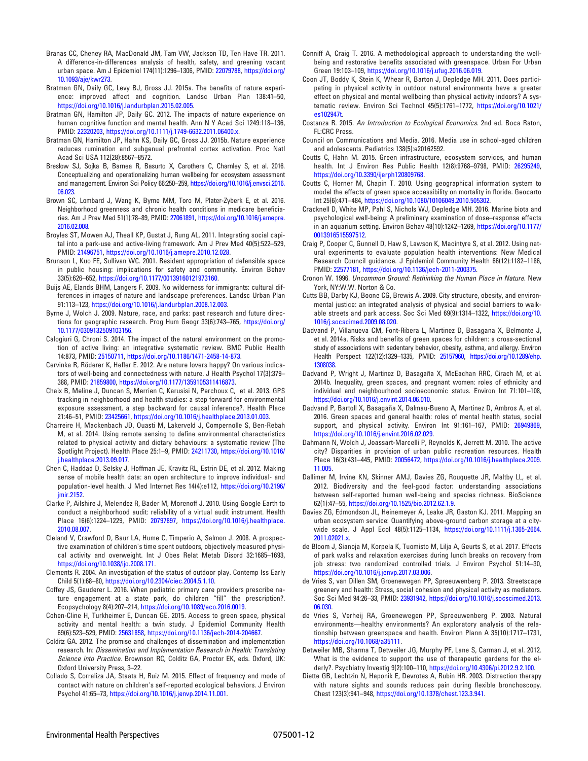- <span id="page-11-6"></span>Branas CC, Cheney RA, MacDonald JM, Tam VW, Jackson TD, Ten Have TR. 2011. A difference-in-differences analysis of health, safety, and greening vacant urban space. Am J Epidemiol 174(11):1296–1306, PMID: [22079788,](https://www.ncbi.nlm.nih.gov/pubmed/22079788) [https://doi.org/](https://doi.org/10.1093/aje/kwr273) [10.1093/aje/kwr273.](https://doi.org/10.1093/aje/kwr273)
- <span id="page-11-1"></span>Bratman GN, Daily GC, Levy BJ, Gross JJ. 2015a. The benefits of nature experience: improved affect and cognition. Landsc Urban Plan 138:41–50, [https://doi.org/10.1016/j.landurbplan.2015.02.005.](https://doi.org/10.1016/j.landurbplan.2015.02.005)
- <span id="page-11-5"></span>Bratman GN, Hamilton JP, Daily GC. 2012. The impacts of nature experience on human cognitive function and mental health. Ann N Y Acad Sci 1249:118–136, PMID: [22320203](https://www.ncbi.nlm.nih.gov/pubmed/22320203), <https://doi.org/10.1111/j.1749-6632.2011.06400.x>.
- <span id="page-11-31"></span>Bratman GN, Hamilton JP, Hahn KS, Daily GC, Gross JJ. 2015b. Nature experience reduces rumination and subgenual prefrontal cortex activation. Proc Natl Acad Sci USA 112(28):8567–8572.
- <span id="page-11-38"></span>Breslow SJ, Sojka B, Barnea R, Basurto X, Carothers C, Charnley S, et al. 2016. Conceptualizing and operationalizing human wellbeing for ecosystem assessment and management. Environ Sci Policy 66:250–259, [https://doi.org/10.1016/j.envsci.2016.](https://doi.org/10.1016/j.envsci.2016.06.023) [06.023](https://doi.org/10.1016/j.envsci.2016.06.023).
- <span id="page-11-13"></span>Brown SC, Lombard J, Wang K, Byrne MM, Toro M, Plater-Zyberk E, et al. 2016. Neighborhood greenness and chronic health conditions in medicare beneficiaries. Am J Prev Med 51(1):78–89, PMID: [27061891,](https://www.ncbi.nlm.nih.gov/pubmed/27061891) [https://doi.org/10.1016/j.amepre.](https://doi.org/10.1016/j.amepre.2016.02.008) [2016.02.008.](https://doi.org/10.1016/j.amepre.2016.02.008)
- <span id="page-11-7"></span>Broyles ST, Mowen AJ, Theall KP, Gustat J, Rung AL. 2011. Integrating social capital into a park-use and active-living framework. Am J Prev Med 40(5):522–529, PMID: [21496751](https://www.ncbi.nlm.nih.gov/pubmed/21496751), [https://doi.org/10.1016/j.amepre.2010.12.028.](https://doi.org/10.1016/j.amepre.2010.12.028)
- <span id="page-11-16"></span>Brunson L, Kuo FE, Sullivan WC. 2001. Resident appropriation of defensible space in public housing: implications for safety and community. Environ Behav 33(5):626–652, <https://doi.org/10.1177/00139160121973160>.
- <span id="page-11-34"></span>Buijs AE, Elands BHM, Langers F. 2009. No wilderness for immigrants: cultural differences in images of nature and landscape preferences. Landsc Urban Plan 91:113–123, <https://doi.org/10.1016/j.landurbplan.2008.12.003>.
- <span id="page-11-35"></span>Byrne J, Wolch J. 2009. Nature, race, and parks: past research and future directions for geographic research. Prog Hum Geogr 33(6):743–765, [https://doi.org/](https://doi.org/10.1177/0309132509103156) [10.1177/0309132509103156.](https://doi.org/10.1177/0309132509103156)
- <span id="page-11-17"></span>Calogiuri G, Chroni S. 2014. The impact of the natural environment on the promotion of active living: an integrative systematic review. BMC Public Health 14:873, PMID: [25150711,](https://www.ncbi.nlm.nih.gov/pubmed/25150711) <https://doi.org/10.1186/1471-2458-14-873>.
- <span id="page-11-26"></span>Cervinka R, Röderer K, Hefler E. 2012. Are nature lovers happy? On various indicators of well-being and connectedness with nature. J Health Psychol 17(3):379– 388, PMID: [21859800,](https://www.ncbi.nlm.nih.gov/pubmed/21859800) <https://doi.org/10.1177/1359105311416873>.
- <span id="page-11-21"></span>Chaix B, Meline J, Duncan S, Merrien C, Karusisi N, Perchoux C, et al. 2013. GPS tracking in neighborhood and health studies: a step forward for environmental exposure assessment, a step backward for causal inference?. Health Place 21:46–51, PMID: [23425661,](https://www.ncbi.nlm.nih.gov/pubmed/23425661) <https://doi.org/10.1016/j.healthplace.2013.01.003>.
- <span id="page-11-24"></span>Charreire H, Mackenbach JD, Ouasti M, Lakerveld J, Compernolle S, Ben-Rebah M, et al. 2014. Using remote sensing to define environmental characteristics related to physical activity and dietary behaviours: a systematic review (The Spotlight Project). Health Place 25:1–9, PMID: [24211730](https://www.ncbi.nlm.nih.gov/pubmed/24211730), [https://doi.org/10.1016/](https://doi.org/10.1016/j.healthplace.2013.09.017) [j.healthplace.2013.09.017](https://doi.org/10.1016/j.healthplace.2013.09.017).
- <span id="page-11-30"></span>Chen C, Haddad D, Selsky J, Hoffman JE, Kravitz RL, Estrin DE, et al. 2012. Making sense of mobile health data: an open architecture to improve individual- and population-level health. J Med Internet Res 14(4):e112, [https://doi.org/10.2196/](https://doi.org/10.2196/jmir.2152) [jmir.2152](https://doi.org/10.2196/jmir.2152).
- <span id="page-11-25"></span>Clarke P, Ailshire J, Melendez R, Bader M, Morenoff J. 2010. Using Google Earth to conduct a neighborhood audit: reliability of a virtual audit instrument. Health Place 16(6):1224–1229, PMID: [20797897,](https://www.ncbi.nlm.nih.gov/pubmed/20797897) [https://doi.org/10.1016/j.healthplace.](https://doi.org/10.1016/j.healthplace.2010.08.007) [2010.08.007](https://doi.org/10.1016/j.healthplace.2010.08.007).
- <span id="page-11-11"></span>Cleland V, Crawford D, Baur LA, Hume C, Timperio A, Salmon J. 2008. A prospective examination of children's time spent outdoors, objectively measured physical activity and overweight. Int J Obes Relat Metab Disord 32:1685–1693, [https://doi.org/10.1038/ijo.2008.171.](https://doi.org/10.1038/ijo.2008.171)
- <span id="page-11-0"></span>Clements R. 2004. An investigation of the status of outdoor play. Contemp Iss Early Child 5(1):68–80, [https://doi.org/10.2304/ciec.2004.5.1.10.](https://doi.org/10.2304/ciec.2004.5.1.10)
- <span id="page-11-41"></span>Coffey JS, Gauderer L. 2016. When pediatric primary care providers prescribe nature engagement at a state park, do children "fill" the prescription?. Ecopsychology 8(4):207–214, [https://doi.org/10.1089/eco.2016.0019.](https://doi.org/10.1089/eco.2016.0019)
- <span id="page-11-4"></span>Cohen-Cline H, Turkheimer E, Duncan GE. 2015. Access to green space, physical activity and mental health: a twin study. J Epidemiol Community Health 69(6):523–529, PMID: [25631858](https://www.ncbi.nlm.nih.gov/pubmed/25631858), [https://doi.org/10.1136/jech-2014-204667.](https://doi.org/10.1136/jech-2014-204667)
- <span id="page-11-40"></span>Colditz GA. 2012. The promise and challenges of dissemination and implementation research. In: Dissemination and Implementation Research in Health: Translating Science into Practice. Brownson RC, Colditz GA, Proctor EK, eds. Oxford, UK: Oxford University Press, 3–22.
- <span id="page-11-3"></span>Collado S, Corraliza JA, Staats H, Ruiz M. 2015. Effect of frequency and mode of contact with nature on children's self-reported ecological behaviors. J Environ Psychol 41:65–73, [https://doi.org/10.1016/j.jenvp.2014.11.001.](https://doi.org/10.1016/j.jenvp.2014.11.001)
- <span id="page-11-23"></span>Conniff A, Craig T. 2016. A methodological approach to understanding the wellbeing and restorative benefits associated with greenspace. Urban For Urban Green 19:103–109, <https://doi.org/10.1016/j.ufug.2016.06.019>.
- <span id="page-11-18"></span>Coon JT, Boddy K, Stein K, Whear R, Barton J, Depledge MH. 2011. Does participating in physical activity in outdoor natural environments have a greater effect on physical and mental wellbeing than physical activity indoors? A systematic review. Environ Sci Technol 45(5):1761–1772, [https://doi.org/10.1021/](https://doi.org/10.1021/es102947t) [es102947t](https://doi.org/10.1021/es102947t).
- <span id="page-11-37"></span>Costanza R. 2015. An Introduction to Ecological Economics. 2nd ed. Boca Raton, FL:CRC Press.
- <span id="page-11-36"></span>Council on Communications and Media. 2016. Media use in school-aged children and adolescents. Pediatrics 138(5):e20162592.
- <span id="page-11-15"></span>Coutts C, Hahn M. 2015. Green infrastructure, ecosystem services, and human health. Int J Environ Res Public Health 12(8):9768–9798, PMID: [26295249](https://www.ncbi.nlm.nih.gov/pubmed/26295249), <https://doi.org/10.3390/ijerph120809768>.
- <span id="page-11-39"></span>Coutts C, Horner M, Chapin T. 2010. Using geographical information system to model the effects of green space accessibility on mortality in florida. Geocarto Int 25(6):471–484, [https://doi.org/10.1080/10106049.2010.505302.](https://doi.org/10.1080/10106049.2010.505302)
- <span id="page-11-22"></span>Cracknell D, White MP, Pahl S, Nichols WJ, Depledge MH. 2016. Marine biota and psychological well-being: A preliminary examination of dose–response effects in an aquarium setting. Environ Behav 48(10):1242–1269, [https://doi.org/10.1177/](https://doi.org/10.1177/0013916515597512) [0013916515597512](https://doi.org/10.1177/0013916515597512).
- <span id="page-11-29"></span>Craig P, Cooper C, Gunnell D, Haw S, Lawson K, Macintyre S, et al. 2012. Using natural experiments to evaluate population health interventions: New Medical Research Council guidance. J Epidemiol Community Health 66(12):1182–1186, PMID: [22577181](https://www.ncbi.nlm.nih.gov/pubmed/22577181), [https://doi.org/10.1136/jech-2011-200375.](https://doi.org/10.1136/jech-2011-200375)
- <span id="page-11-2"></span>Cronon W. 1996. Uncommon Ground: Rethinking the Human Place in Nature. New York, NY:W.W. Norton & Co.
- <span id="page-11-33"></span>Cutts BB, Darby KJ, Boone CG, Brewis A. 2009. City structure, obesity, and environmental justice: an integrated analysis of physical and social barriers to walkable streets and park access. Soc Sci Med 69(9):1314–1322, [https://doi.org/10.](https://doi.org/10.1016/j.socscimed.2009.08.020) [1016/j.socscimed.2009.08.020.](https://doi.org/10.1016/j.socscimed.2009.08.020)
- <span id="page-11-19"></span>Dadvand P, Villanueva CM, Font-Ribera L, Martinez D, Basagana X, Belmonte J, et al. 2014a. Risks and benefits of green spaces for children: a cross-sectional study of associations with sedentary behavior, obesity, asthma, and allergy. Environ Health Perspect 122(12):1329–1335, PMID: [25157960](https://www.ncbi.nlm.nih.gov/pubmed/25157960), [https://doi.org/10.1289/ehp.](https://doi.org/10.1289/ehp.1308038) [1308038.](https://doi.org/10.1289/ehp.1308038)
- <span id="page-11-12"></span>Dadvand P, Wright J, Martinez D, Basagaña X, McEachan RRC, Cirach M, et al. 2014b. Inequality, green spaces, and pregnant women: roles of ethnicity and individual and neighbourhood socioeconomic status. Environ Int 71:101–108, [https://doi.org/10.1016/j.envint.2014.06.010.](https://doi.org/10.1016/j.envint.2014.06.010)
- <span id="page-11-8"></span>Dadvand P, Bartoll X, Basagaña X, Dalmau-Bueno A, Martinez D, Ambros A, et al. 2016. Green spaces and general health: roles of mental health status, social support, and physical activity. Environ Int 91:161-167, PMID: [26949869](https://www.ncbi.nlm.nih.gov/pubmed/26949869), [https://doi.org/10.1016/j.envint.2016.02.029.](https://doi.org/10.1016/j.envint.2016.02.029)
- <span id="page-11-32"></span>Dahmann N, Wolch J, Joassart-Marcelli P, Reynolds K, Jerrett M. 2010. The active city? Disparities in provision of urban public recreation resources. Health Place 16(3):431–445, PMID: [20056472,](https://www.ncbi.nlm.nih.gov/pubmed/20056472) [https://doi.org/10.1016/j.healthplace.2009.](https://doi.org/10.1016/j.healthplace.2009.11.005) [11.005](https://doi.org/10.1016/j.healthplace.2009.11.005).
- <span id="page-11-27"></span>Dallimer M, Irvine KN, Skinner AMJ, Davies ZG, Rouquette JR, Maltby LL, et al. 2012. Biodiversity and the feel-good factor: understanding associations between self-reported human well-being and species richness. BioScience 62(1):47–55, [https://doi.org/10.1525/bio.2012.62.1.9.](https://doi.org/10.1525/bio.2012.62.1.9)
- <span id="page-11-20"></span>Davies ZG, Edmondson JL, Heinemeyer A, Leake JR, Gaston KJ. 2011. Mapping an urban ecosystem service: Quantifying above-ground carbon storage at a citywide scale. J Appl Ecol 48(5):1125–1134, [https://doi.org/10.1111/j.1365-2664.](https://doi.org/10.1111/j.1365-2664.2011.02021.x) [2011.02021.x.](https://doi.org/10.1111/j.1365-2664.2011.02021.x)
- <span id="page-11-28"></span>de Bloom J, Sianoja M, Korpela K, Tuomisto M, Lilja A, Geurts S, et al. 2017. Effects of park walks and relaxation exercises during lunch breaks on recovery from job stress: two randomized controlled trials. J Environ Psychol 51:14–30, <https://doi.org/10.1016/j.jenvp.2017.03.006>.
- <span id="page-11-14"></span>de Vries S, van Dillen SM, Groenewegen PP, Spreeuwenberg P. 2013. Streetscape greenery and health: Stress, social cohesion and physical activity as mediators. Soc Sci Med 94:26–33, PMID: [23931942](https://www.ncbi.nlm.nih.gov/pubmed/23931942), [https://doi.org/10.1016/j.socscimed.2013.](https://doi.org/10.1016/j.socscimed.2013.06.030) [06.030.](https://doi.org/10.1016/j.socscimed.2013.06.030)
- <span id="page-11-9"></span>de Vries S, Verheij RA, Groenewegen PP, Spreeuwenberg P. 2003. Natural environments—healthy environments? An exploratory analysis of the relationship between greenspace and health. Environ Plann A 35(10):1717–1731, <https://doi.org/10.1068/a35111>.
- <span id="page-11-42"></span>Detweiler MB, Sharma T, Detweiler JG, Murphy PF, Lane S, Carman J, et al. 2012. What is the evidence to support the use of therapeutic gardens for the elderly?. Psychiatry Investig 9(2):100–110, <https://doi.org/10.4306/pi.2012.9.2.100>.
- <span id="page-11-10"></span>Diette GB, Lechtzin N, Haponik E, Devrotes A, Rubin HR. 2003. Distraction therapy with nature sights and sounds reduces pain during flexible bronchoscopy. Chest 123(3):941–948, <https://doi.org/10.1378/chest.123.3.941>.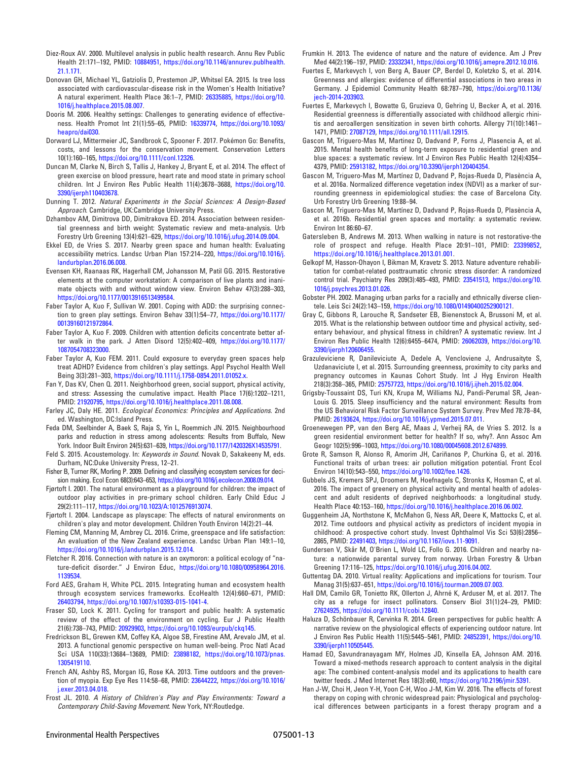- <span id="page-12-39"></span>Diez-Roux AV. 2000. Multilevel analysis in public health research. Annu Rev Public Health 21:171–192, PMID: [10884951](https://www.ncbi.nlm.nih.gov/pubmed/10884951), [https://doi.org/10.1146/annurev.publhealth.](https://doi.org/10.1146/annurev.publhealth.21.1.171) [21.1.171](https://doi.org/10.1146/annurev.publhealth.21.1.171).
- <span id="page-12-35"></span>Donovan GH, Michael YL, Gatziolis D, Prestemon JP, Whitsel EA. 2015. Is tree loss associated with cardiovascular-disease risk in the Women's Health Initiative? A natural experiment. Health Place 36:1–7, PMID: [26335885,](https://www.ncbi.nlm.nih.gov/pubmed/26335885) [https://doi.org/10.](https://doi.org/10.1016/j.healthplace.2015.08.007) [1016/j.healthplace.2015.08.007.](https://doi.org/10.1016/j.healthplace.2015.08.007)
- <span id="page-12-3"></span>Dooris M. 2006. Healthy settings: Challenges to generating evidence of effectiveness. Health Promot Int 21(1):55–65, PMID: [16339774,](https://www.ncbi.nlm.nih.gov/pubmed/16339774) [https://doi.org/10.1093/](https://doi.org/10.1093/heapro/dai030) [heapro/dai030](https://doi.org/10.1093/heapro/dai030).
- <span id="page-12-42"></span>Dorward LJ, Mittermeier JC, Sandbrook C, Spooner F. 2017. Pokémon Go: Benefits, costs, and lessons for the conservation movement. Conservation Letters 10(1):160–165, <https://doi.org/10.1111/conl.12326>.
- <span id="page-12-11"></span>Duncan M, Clarke N, Birch S, Tallis J, Hankey J, Bryant E, et al. 2014. The effect of green exercise on blood pressure, heart rate and mood state in primary school children. Int J Environ Res Public Health 11(4):3678–3688, [https://doi.org/10.](https://doi.org/10.3390/ijerph110403678) [3390/ijerph110403678](https://doi.org/10.3390/ijerph110403678).
- <span id="page-12-34"></span>Dunning T. 2012. Natural Experiments in the Social Sciences: A Design-Based Approach. Cambridge, UK:Cambridge University Press.
- <span id="page-12-12"></span>Dzhambov AM, Dimitrova DD, Dimitrakova ED. 2014. Association between residential greenness and birth weight: Systematic review and meta-analysis. Urb Forestry Urb Greening 13(4):621–629, [https://doi.org/10.1016/j.ufug.2014.09.004.](https://doi.org/10.1016/j.ufug.2014.09.004)
- <span id="page-12-29"></span>Ekkel ED, de Vries S. 2017. Nearby green space and human health: Evaluating accessibility metrics. Landsc Urban Plan 157:214–220, [https://doi.org/10.1016/j.](https://doi.org/10.1016/j.landurbplan.2016.06.008) [landurbplan.2016.06.008.](https://doi.org/10.1016/j.landurbplan.2016.06.008)
- <span id="page-12-21"></span>Evensen KH, Raanaas RK, Hagerhall CM, Johansson M, Patil GG. 2015. Restorative elements at the computer workstation: A comparison of live plants and inanimate objects with and without window view. Environ Behav 47(3):288–303, <https://doi.org/10.1177/0013916513499584>.
- <span id="page-12-8"></span>Faber Taylor A, Kuo F, Sullivan W. 2001. Coping with ADD: the surprising connection to green play settings. Environ Behav 33(1):54–77, [https://doi.org/10.1177/](https://doi.org/10.1177/00139160121972864) [00139160121972864](https://doi.org/10.1177/00139160121972864).
- <span id="page-12-9"></span>Faber Taylor A, Kuo F. 2009. Children with attention deficits concentrate better after walk in the park. J Atten Disord 12(5):402–409, [https://doi.org/10.1177/](https://doi.org/10.1177/1087054708323000) [1087054708323000](https://doi.org/10.1177/1087054708323000).
- <span id="page-12-10"></span>Faber Taylor A, Kuo FEM. 2011. Could exposure to everyday green spaces help treat ADHD? Evidence from children's play settings. Appl Psychol Health Well Being 3(3):281–303, <https://doi.org/10.1111/j.1758-0854.2011.01052.x>.
- <span id="page-12-4"></span>Fan Y, Das KV, Chen Q. 2011. Neighborhood green, social support, physical activity, and stress: Assessing the cumulative impact. Health Place 17(6):1202–1211, PMID: [21920795](https://www.ncbi.nlm.nih.gov/pubmed/21920795), <https://doi.org/10.1016/j.healthplace.2011.08.008>.
- <span id="page-12-43"></span>Farley JC, Daly HE. 2011. Ecological Economics: Principles and Applications. 2nd ed. Washington, DC:Island Press.
- <span id="page-12-25"></span>Feda DM, Seelbinder A, Baek S, Raja S, Yin L, Roemmich JN. 2015. Neighbourhood parks and reduction in stress among adolescents: Results from Buffalo, New York. Indoor Built Environ 24(5):631–639, [https://doi.org/10.1177/1420326X14535791.](https://doi.org/10.1177/1420326X14535791)
- <span id="page-12-32"></span>Feld S. 2015. Acoustemology. In: Keywords in Sound. Novak D, Sakakeeny M, eds. Durham, NC:Duke University Press, 12–21.
- <span id="page-12-44"></span>Fisher B, Turner RK, Morling P. 2009. Defining and classifying ecosystem services for decision making. Ecol Econ 68(3):643–653, <https://doi.org/10.1016/j.ecolecon.2008.09.014>.
- <span id="page-12-13"></span>Fjørtoft I. 2001. The natural environment as a playground for children: the impact of outdoor play activities in pre-primary school children. Early Child Educ J 29(2):111–117, <https://doi.org/10.1023/A:1012576913074>.
- <span id="page-12-24"></span>Fjørtoft I. 2004. Landscape as playscape: The effects of natural environments on children's play and motor development. Children Youth Environ 14(2):21–44.
- <span id="page-12-7"></span>Fleming CM, Manning M, Ambrey CL. 2016. Crime, greenspace and life satisfaction: An evaluation of the New Zealand experience. Landsc Urban Plan 149:1–10, [https://doi.org/10.1016/j.landurbplan.2015.12.014.](https://doi.org/10.1016/j.landurbplan.2015.12.014)
- <span id="page-12-2"></span>Fletcher R. 2016. Connection with nature is an oxymoron: a political ecology of "nature-deficit disorder." J Environ Educ, [https://doi.org/10.1080/00958964.2016.](https://doi.org/10.1080/00958964.2016.1139534) [1139534](https://doi.org/10.1080/00958964.2016.1139534).
- <span id="page-12-45"></span>Ford AES, Graham H, White PCL. 2015. Integrating human and ecosystem health through ecosystem services frameworks. EcoHealth 12(4):660–671, PMID: [26403794](https://www.ncbi.nlm.nih.gov/pubmed/26403794), [https://doi.org/10.1007/s10393-015-1041-4.](https://doi.org/10.1007/s10393-015-1041-4)
- <span id="page-12-22"></span>Fraser SD, Lock K. 2011. Cycling for transport and public health: A systematic review of the effect of the environment on cycling. Eur J Public Health 21(6):738–743, PMID: [20929903](https://www.ncbi.nlm.nih.gov/pubmed/20929903), [https://doi.org/10.1093/eurpub/ckq145.](https://doi.org/10.1093/eurpub/ckq145)
- <span id="page-12-38"></span>Fredrickson BL, Grewen KM, Coffey KA, Algoe SB, Firestine AM, Arevalo JM, et al. 2013. A functional genomic perspective on human well-being. Proc Natl Acad Sci USA 110(33):13684–13689, PMID: [23898182](https://www.ncbi.nlm.nih.gov/pubmed/23898182), [https://doi.org/10.1073/pnas.](https://doi.org/10.1073/pnas.1305419110) [1305419110](https://doi.org/10.1073/pnas.1305419110).
- <span id="page-12-15"></span>French AN, Ashby RS, Morgan IG, Rose KA. 2013. Time outdoors and the prevention of myopia. Exp Eye Res 114:58–68, PMID: [23644222,](https://www.ncbi.nlm.nih.gov/pubmed/23644222) [https://doi.org/10.1016/](https://doi.org/10.1016/j.exer.2013.04.018) [j.exer.2013.04.018](https://doi.org/10.1016/j.exer.2013.04.018).
- <span id="page-12-0"></span>Frost JL. 2010. A History of Children's Play and Play Environments: Toward a Contemporary Child-Saving Movement. New York, NY:Routledge.
- <span id="page-12-1"></span>Frumkin H. 2013. The evidence of nature and the nature of evidence. Am J Prev Med 44(2):196–197, PMID: [23332341,](https://www.ncbi.nlm.nih.gov/pubmed/23332341) [https://doi.org/10.1016/j.amepre.2012.10.016.](https://doi.org/10.1016/j.amepre.2012.10.016)
- <span id="page-12-18"></span>Fuertes E, Markevych I, von Berg A, Bauer CP, Berdel D, Koletzko S, et al. 2014. Greenness and allergies: evidence of differential associations in two areas in Germany. J Epidemiol Community Health 68:787–790, [https://doi.org/10.1136/](https://doi.org/10.1136/jech-2014-203903) [jech-2014-203903](https://doi.org/10.1136/jech-2014-203903).
- <span id="page-12-19"></span>Fuertes E, Markevych I, Bowatte G, Gruzieva O, Gehring U, Becker A, et al. 2016. Residential greenness is differentially associated with childhood allergic rhinitis and aeroallergen sensitization in seven birth cohorts. Allergy 71(10):1461– 1471, PMID: [27087129,](https://www.ncbi.nlm.nih.gov/pubmed/27087129) [https://doi.org/10.1111/all.12915.](https://doi.org/10.1111/all.12915)
- <span id="page-12-6"></span>Gascon M, Triguero-Mas M, Martinez D, Dadvand P, Forns J, Plasencia A, et al. 2015. Mental health benefits of long-term exposure to residential green and blue spaces: a systematic review. Int J Environ Res Public Health 12(4):4354– 4379, PMID: [25913182,](https://www.ncbi.nlm.nih.gov/pubmed/25913182) <https://doi.org/10.3390/ijerph120404354>.
- <span id="page-12-30"></span>Gascon M, Triguero-Mas M, Martínez D, Dadvand P, Rojas-Rueda D, Plasència A, et al. 2016a. Normalized difference vegetation index (NDVI) as a marker of surrounding greenness in epidemiological studies: the case of Barcelona City. Urb Forestry Urb Greening 19:88–94.
- <span id="page-12-17"></span>Gascon M, Triguero-Mas M, Martínez D, Dadvand P, Rojas-Rueda D, Plasència A, et al. 2016b. Residential green spaces and mortality: a systematic review. Environ Int 86:60–67.
- <span id="page-12-47"></span>Gatersleben B, Andrews M. 2013. When walking in nature is not restorative-the role of prospect and refuge. Health Place 20:91–101, PMID: [23399852](https://www.ncbi.nlm.nih.gov/pubmed/23399852), [https://doi.org/10.1016/j.healthplace.2013.01.001.](https://doi.org/10.1016/j.healthplace.2013.01.001)
- <span id="page-12-33"></span>Gelkopf M, Hasson-Ohayon I, Bikman M, Kravetz S. 2013. Nature adventure rehabilitation for combat-related posttraumatic chronic stress disorder: A randomized control trial. Psychiatry Res 209(3):485–493, PMID: [23541513,](https://www.ncbi.nlm.nih.gov/pubmed/23541513) [https://doi.org/10.](https://doi.org/10.1016/j.psychres.2013.01.026) [1016/j.psychres.2013.01.026](https://doi.org/10.1016/j.psychres.2013.01.026).
- <span id="page-12-40"></span>Gobster PH. 2002. Managing urban parks for a racially and ethnically diverse clientele. Leis Sci 24(2):143–159, <https://doi.org/10.1080/01490400252900121>.
- <span id="page-12-23"></span>Gray C, Gibbons R, Larouche R, Sandseter EB, Bienenstock A, Brussoni M, et al. 2015. What is the relationship between outdoor time and physical activity, sedentary behaviour, and physical fitness in children? A systematic review. Int J Environ Res Public Health 12(6):6455–6474, PMID: [26062039,](https://www.ncbi.nlm.nih.gov/pubmed/26062039) [https://doi.org/10.](https://doi.org/10.3390/ijerph120606455) [3390/ijerph120606455](https://doi.org/10.3390/ijerph120606455).
- <span id="page-12-31"></span>Grazuleviciene R, Danileviciute A, Dedele A, Vencloviene J, Andrusaityte S, Uzdanaviciute I, et al. 2015. Surrounding greenness, proximity to city parks and pregnancy outcomes in Kaunas Cohort Study. Int J Hyg Environ Health 218(3):358–365, PMID: [25757723](https://www.ncbi.nlm.nih.gov/pubmed/25757723), [https://doi.org/10.1016/j.ijheh.2015.02.004.](https://doi.org/10.1016/j.ijheh.2015.02.004)
- <span id="page-12-5"></span>Grigsby-Toussaint DS, Turi KN, Krupa M, Williams NJ, Pandi-Perumal SR, Jean-Louis G. 2015. Sleep insufficiency and the natural environment: Results from the US Behavioral Risk Factor Surveillance System Survey. Prev Med 78:78–84, PMID: [26193624](https://www.ncbi.nlm.nih.gov/pubmed/26193624), [https://doi.org/10.1016/j.ypmed.2015.07.011.](https://doi.org/10.1016/j.ypmed.2015.07.011)
- <span id="page-12-20"></span>Groenewegen PP, van den Berg AE, Maas J, Verheij RA, de Vries S. 2012. Is a green residential environment better for health? If so, why?. Ann Assoc Am Geogr 102(5):996–1003, [https://doi.org/10.1080/00045608.2012.674899.](https://doi.org/10.1080/00045608.2012.674899)
- <span id="page-12-27"></span>Grote R, Samson R, Alonso R, Amorim JH, Cariñanos P, Churkina G, et al. 2016. Functional traits of urban trees: air pollution mitigation potential. Front Ecol Environ 14(10):543–550, <https://doi.org/10.1002/fee.1426>.
- <span id="page-12-26"></span>Gubbels JS, Kremers SPJ, Droomers M, Hoefnagels C, Stronks K, Hosman C, et al. 2016. The impact of greenery on physical activity and mental health of adolescent and adult residents of deprived neighborhoods: a longitudinal study. Health Place 40:153–160, <https://doi.org/10.1016/j.healthplace.2016.06.002>.
- <span id="page-12-16"></span>Guggenheim JA, Northstone K, McMahon G, Ness AR, Deere K, Mattocks C, et al. 2012. Time outdoors and physical activity as predictors of incident myopia in childhood: A prospective cohort study. Invest Ophthalmol Vis Sci 53(6):2856– 2865, PMID: [22491403,](https://www.ncbi.nlm.nih.gov/pubmed/22491403) [https://doi.org/10.1167/iovs.11-9091.](https://doi.org/10.1167/iovs.11-9091)
- <span id="page-12-46"></span>Gundersen V, Skår M, O'Brien L, Wold LC, Follo G. 2016. Children and nearby nature: a nationwide parental survey from norway. Urban Forestry & Urban Greening 17:116–125, <https://doi.org/10.1016/j.ufug.2016.04.002>.
- <span id="page-12-41"></span>Guttentag DA. 2010. Virtual reality: Applications and implications for tourism. Tour Manag 31(5):637–651, <https://doi.org/10.1016/j.tourman.2009.07.003>.
- <span id="page-12-28"></span>Hall DM, Camilo GR, Tonietto RK, Ollerton J, Ahrné K, Arduser M, et al. 2017. The city as a refuge for insect pollinators. Conserv Biol 31(1):24–29, PMID: [27624925,](https://www.ncbi.nlm.nih.gov/pubmed/27624925) <https://doi.org/10.1111/cobi.12840>.
- <span id="page-12-37"></span>Haluza D, Schönbauer R, Cervinka R. 2014. Green perspectives for public health: A narrative review on the physiological effects of experiencing outdoor nature. Int J Environ Res Public Health 11(5):5445–5461, PMID: [24852391](https://www.ncbi.nlm.nih.gov/pubmed/24852391), [https://doi.org/10.](https://doi.org/10.3390/ijerph110505445) [3390/ijerph110505445](https://doi.org/10.3390/ijerph110505445).
- <span id="page-12-36"></span>Hamad EO, Savundranayagam MY, Holmes JD, Kinsella EA, Johnson AM. 2016. Toward a mixed-methods research approach to content analysis in the digital age: The combined content-analysis model and its applications to health care twitter feeds. J Med Internet Res 18(3):e60, <https://doi.org/10.2196/jmir.5391>.
- <span id="page-12-14"></span>Han J-W, Choi H, Jeon Y-H, Yoon C-H, Woo J-M, Kim W. 2016. The effects of forest therapy on coping with chronic widespread pain: Physiological and psychological differences between participants in a forest therapy program and a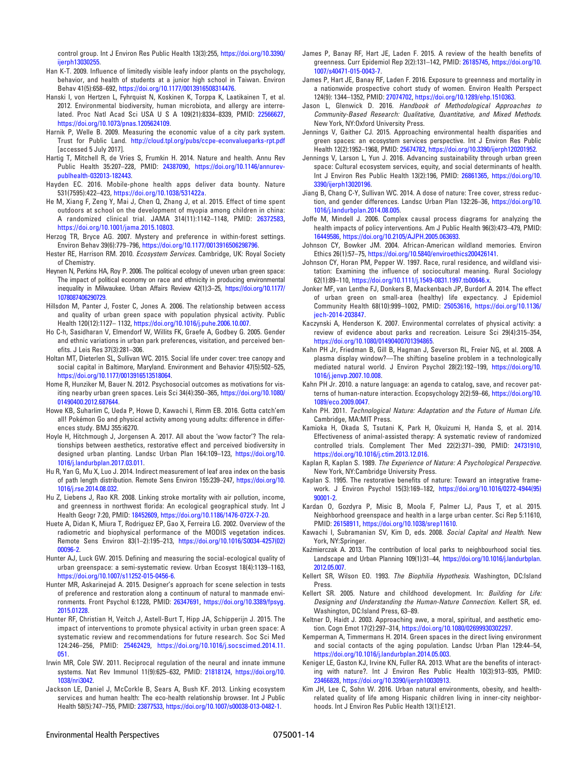control group. Int J Environ Res Public Health 13(3):255, [https://doi.org/10.3390/](https://doi.org/10.3390/ijerph13030255) [ijerph13030255.](https://doi.org/10.3390/ijerph13030255)

- <span id="page-13-30"></span>Han K-T. 2009. Influence of limitedly visible leafy indoor plants on the psychology, behavior, and health of students at a junior high school in Taiwan. Environ Behav 41(5):658–692, <https://doi.org/10.1177/0013916508314476>.
- <span id="page-13-18"></span>Hanski I, von Hertzen L, Fyhrquist N, Koskinen K, Torppa K, Laatikainen T, et al. 2012. Environmental biodiversity, human microbiota, and allergy are interrelated. Proc Natl Acad Sci USA U S A 109(21):8334–8339, PMID: [22566627](https://www.ncbi.nlm.nih.gov/pubmed/22566627), [https://doi.org/10.1073/pnas.1205624109.](https://doi.org/10.1073/pnas.1205624109)
- <span id="page-13-46"></span>Harnik P, Welle B. 2009. Measuring the economic value of a city park system. Trust for Public Land. <http://cloud.tpl.org/pubs/ccpe-econvalueparks-rpt.pdf> [accessed 5 July 2017].
- <span id="page-13-0"></span>Hartig T, Mitchell R, de Vries S, Frumkin H. 2014. Nature and health. Annu Rev Public Health 35:207–228, PMID: [24387090](https://www.ncbi.nlm.nih.gov/pubmed/24387090), [https://doi.org/10.1146/annurev](https://doi.org/10.1146/annurev-publhealth-032013-182443)[publhealth-032013-182443](https://doi.org/10.1146/annurev-publhealth-032013-182443).
- <span id="page-13-33"></span>Hayden EC. 2016. Mobile-phone health apps deliver data bounty. Nature 531(7595):422–423, <https://doi.org/10.1038/531422a>.
- <span id="page-13-7"></span>He M, Xiang F, Zeng Y, Mai J, Chen Q, Zhang J, et al. 2015. Effect of time spent outdoors at school on the development of myopia among children in china: A randomized clinical trial. JAMA 314(11):1142–1148, PMID: [26372583](https://www.ncbi.nlm.nih.gov/pubmed/26372583), [https://doi.org/10.1001/jama.2015.10803.](https://doi.org/10.1001/jama.2015.10803)
- <span id="page-13-17"></span>Herzog TR, Bryce AG. 2007. Mystery and preference in within-forest settings. Environ Behav 39(6):779–796, <https://doi.org/10.1177/0013916506298796>.
- <span id="page-13-45"></span>Hester RE, Harrison RM. 2010. Ecosystem Services. Cambridge, UK: Royal Society of Chemistry.
- <span id="page-13-36"></span>Heynen N, Perkins HA, Roy P. 2006. The political ecology of uneven urban green space: The impact of political economy on race and ethnicity in producing environmental inequality in Milwaukee. Urban Affairs Review 42(1):3–25, [https://doi.org/10.1177/](https://doi.org/10.1177/1078087406290729) [1078087406290729.](https://doi.org/10.1177/1078087406290729)
- <span id="page-13-22"></span>Hillsdon M, Panter J, Foster C, Jones A. 2006. The relationship between access and quality of urban green space with population physical activity. Public Health 120(12):1127– 1132, [https://doi.org/10.1016/j.puhe.2006.10.007.](https://doi.org/10.1016/j.puhe.2006.10.007)
- <span id="page-13-41"></span>Ho C-h, Sasidharan V, Elmendorf W, Willits FK, Graefe A, Godbey G. 2005. Gender and ethnic variations in urban park preferences, visitation, and perceived benefits. J Leis Res 37(3):281–306.
- <span id="page-13-4"></span>Holtan MT, Dieterlen SL, Sullivan WC. 2015. Social life under cover: tree canopy and social capital in Baltimore, Maryland. Environment and Behavior 47(5):502–525, [https://doi.org/10.1177/0013916513518064.](https://doi.org/10.1177/0013916513518064)
- <span id="page-13-5"></span>Home R, Hunziker M, Bauer N. 2012. Psychosocial outcomes as motivations for visiting nearby urban green spaces. Leis Sci 34(4):350–365, [https://doi.org/10.1080/](https://doi.org/10.1080/01490400.2012.687644) [01490400.2012.687644](https://doi.org/10.1080/01490400.2012.687644).
- <span id="page-13-43"></span>Howe KB, Suharlim C, Ueda P, Howe D, Kawachi I, Rimm EB. 2016. Gotta catch'em all! Pokémon Go and physical activity among young adults: difference in differences study. BMJ 355:i6270.
- <span id="page-13-32"></span>Hoyle H, Hitchmough J, Jorgensen A. 2017. All about the 'wow factor'? The relationships between aesthetics, restorative effect and perceived biodiversity in designed urban planting. Landsc Urban Plan 164:109–123, [https://doi.org/10.](https://doi.org/10.1016/j.landurbplan.2017.03.011) [1016/j.landurbplan.2017.03.011](https://doi.org/10.1016/j.landurbplan.2017.03.011).
- <span id="page-13-28"></span>Hu R, Yan G, Mu X, Luo J. 2014. Indirect measurement of leaf area index on the basis of path length distribution. Remote Sens Environ 155:239–247, [https://doi.org/10.](https://doi.org/10.1016/j.rse.2014.08.032) [1016/j.rse.2014.08.032.](https://doi.org/10.1016/j.rse.2014.08.032)
- <span id="page-13-10"></span>Hu Z, Liebens J, Rao KR. 2008. Linking stroke mortality with air pollution, income, and greenness in northwest florida: An ecological geographical study. Int J Health Geogr 7:20, PMID: [18452609,](https://www.ncbi.nlm.nih.gov/pubmed/18452609) <https://doi.org/10.1186/1476-072X-7-20>.
- <span id="page-13-27"></span>Huete A, Didan K, Miura T, Rodriguez EP, Gao X, Ferreira LG. 2002. Overview of the radiometric and biophysical performance of the MODIS vegetation indices. Remote Sens Environ 83(1–2):195–213, [https://doi.org/10.1016/S0034-4257\(02\)](https://doi.org/10.1016/S0034-4257(02)00096-2) [00096-2](https://doi.org/10.1016/S0034-4257(02)00096-2).
- <span id="page-13-26"></span>Hunter AJ, Luck GW. 2015. Defining and measuring the social-ecological quality of urban greenspace: a semi-systematic review. Urban Ecosyst 18(4):1139–1163, <https://doi.org/10.1007/s11252-015-0456-6>.
- <span id="page-13-48"></span>Hunter MR, Askarinejad A. 2015. Designer's approach for scene selection in tests of preference and restoration along a continuum of natural to manmade environments. Front Psychol 6:1228, PMID: [26347691,](https://www.ncbi.nlm.nih.gov/pubmed/26347691) [https://doi.org/10.3389/fpsyg.](https://doi.org/10.3389/fpsyg.2015.01228) [2015.01228.](https://doi.org/10.3389/fpsyg.2015.01228)
- <span id="page-13-20"></span>Hunter RF, Christian H, Veitch J, Astell-Burt T, Hipp JA, Schipperijn J. 2015. The impact of interventions to promote physical activity in urban green space: A systematic review and recommendations for future research. Soc Sci Med 124:246–256, PMID: [25462429,](https://www.ncbi.nlm.nih.gov/pubmed/25462429) [https://doi.org/10.1016/j.socscimed.2014.11.](https://doi.org/10.1016/j.socscimed.2014.11.051) [051](https://doi.org/10.1016/j.socscimed.2014.11.051).
- <span id="page-13-19"></span>Irwin MR, Cole SW. 2011. Reciprocal regulation of the neural and innate immune systems. Nat Rev Immunol 11(9):625–632, PMID: [21818124](https://www.ncbi.nlm.nih.gov/pubmed/21818124), [https://doi.org/10.](https://doi.org/10.1038/nri3042) [1038/nri3042.](https://doi.org/10.1038/nri3042)
- <span id="page-13-47"></span>Jackson LE, Daniel J, McCorkle B, Sears A, Bush KF. 2013. Linking ecosystem services and human health: The eco-health relationship browser. Int J Public Health 58(5):747–755, PMID: [23877533](https://www.ncbi.nlm.nih.gov/pubmed/23877533), <https://doi.org/10.1007/s00038-013-0482-1>.
- <span id="page-13-1"></span>James P, Banay RF, Hart JE, Laden F. 2015. A review of the health benefits of greenness. Curr Epidemiol Rep 2(2):131–142, PMID: [26185745,](https://www.ncbi.nlm.nih.gov/pubmed/26185745) [https://doi.org/10.](https://doi.org/10.1007/s40471-015-0043-7) [1007/s40471-015-0043-7](https://doi.org/10.1007/s40471-015-0043-7).
- <span id="page-13-11"></span>James P, Hart JE, Banay RF, Laden F. 2016. Exposure to greenness and mortality in a nationwide prospective cohort study of women. Environ Health Perspect 124(9): 1344–1352, PMID: [27074702,](https://www.ncbi.nlm.nih.gov/pubmed/27074702) [https://doi.org/10.1289/ehp.1510363.](https://doi.org/10.1289/ehp.1510363)
- <span id="page-13-3"></span>Jason L, Glenwick D. 2016. Handbook of Methodological Approaches to Community-Based Research: Qualitative, Quantitative, and Mixed Methods. New York, NY:Oxford University Press.
- <span id="page-13-37"></span>Jennings V, Gaither CJ. 2015. Approaching environmental health disparities and green spaces: an ecosystem services perspective. Int J Environ Res Public Health 12(2):1952–1968, PMID: [25674782,](https://www.ncbi.nlm.nih.gov/pubmed/25674782) <https://doi.org/10.3390/ijerph120201952>.
- <span id="page-13-38"></span>Jennings V, Larson L, Yun J. 2016. Advancing sustainability through urban green space: Cultural ecosystem services, equity, and social determinants of health. Int J Environ Res Public Health 13(2):196, PMID: [26861365](https://www.ncbi.nlm.nih.gov/pubmed/26861365), [https://doi.org/10.](https://doi.org/10.3390/ijerph13020196) [3390/ijerph13020196.](https://doi.org/10.3390/ijerph13020196)
- <span id="page-13-34"></span>Jiang B, Chang C-Y, Sullivan WC. 2014. A dose of nature: Tree cover, stress reduction, and gender differences. Landsc Urban Plan 132:26–36, [https://doi.org/10.](https://doi.org/10.1016/j.landurbplan.2014.08.005) [1016/j.landurbplan.2014.08.005](https://doi.org/10.1016/j.landurbplan.2014.08.005).
- <span id="page-13-35"></span>Joffe M, Mindell J. 2006. Complex causal process diagrams for analyzing the health impacts of policy interventions. Am J Public Health 96(3):473–479, PMID: [16449586,](https://www.ncbi.nlm.nih.gov/pubmed/16449586) [https://doi.org/10.2105/AJPH.2005.063693.](https://doi.org/10.2105/AJPH.2005.063693)
- <span id="page-13-39"></span>Johnson CY, Bowker JM. 2004. African-American wildland memories. Environ Ethics 26(1):57–75, <https://doi.org/10.5840/enviroethics200426141>.
- <span id="page-13-40"></span>Johnson CY, Horan PM, Pepper W. 1997. Race, rural residence, and wildland visitation: Examining the influence of sociocultural meaning. Rural Sociology 62(1):89–110, <https://doi.org/10.1111/j.1549-0831.1997.tb00646.x>.
- <span id="page-13-29"></span>Jonker MF, van Lenthe FJ, Donkers B, Mackenbach JP, Burdorf A. 2014. The effect of urban green on small-area (healthy) life expectancy. J Epidemiol Community Health 68(10):999–1002, PMID: [25053616,](https://www.ncbi.nlm.nih.gov/pubmed/25053616) [https://doi.org/10.1136/](https://doi.org/10.1136/jech-2014-203847) [jech-2014-203847.](https://doi.org/10.1136/jech-2014-203847)
- <span id="page-13-21"></span>Kaczynski A, Henderson K. 2007. Environmental correlates of physical activity: a review of evidence about parks and recreation. Leisure Sci 29(4):315–354, [https://doi.org/10.1080/01490400701394865.](https://doi.org/10.1080/01490400701394865)
- <span id="page-13-44"></span>Kahn PH Jr, Friedman B, Gill B, Hagman J, Severson RL, Freier NG, et al. 2008. A plasma display window?—The shifting baseline problem in a technologically mediated natural world. J Environ Psychol 28(2):192–199, [https://doi.org/10.](https://doi.org/10.1016/j.jenvp.2007.10.008) [1016/j.jenvp.2007.10.008.](https://doi.org/10.1016/j.jenvp.2007.10.008)
- <span id="page-13-42"></span>Kahn PH Jr. 2010. a nature language: an agenda to catalog, save, and recover patterns of human-nature interaction. Ecopsychology 2(2):59–66, [https://doi.org/10.](https://doi.org/10.1089/eco.2009.0047) [1089/eco.2009.0047](https://doi.org/10.1089/eco.2009.0047).
- <span id="page-13-31"></span>Kahn PH. 2011. Technological Nature: Adaptation and the Future of Human Life. Cambridge, MA:MIT Press.
- <span id="page-13-2"></span>Kamioka H, Okada S, Tsutani K, Park H, Okuizumi H, Handa S, et al. 2014. Effectiveness of animal-assisted therapy: A systematic review of randomized controlled trials. Complement Ther Med 22(2):371–390, PMID: [24731910](https://www.ncbi.nlm.nih.gov/pubmed/24731910), <https://doi.org/10.1016/j.ctim.2013.12.016>.
- <span id="page-13-14"></span>Kaplan R, Kaplan S. 1989. The Experience of Nature: A Psychological Perspective. New York, NY:Cambridge University Press.
- <span id="page-13-15"></span>Kaplan S. 1995. The restorative benefits of nature: Toward an integrative framework. J Environ Psychol 15(3):169–182, [https://doi.org/10.1016/0272-4944\(95\)](https://doi.org/10.1016/0272-4944(95)90001-2) [90001-2](https://doi.org/10.1016/0272-4944(95)90001-2).
- <span id="page-13-8"></span>Kardan O, Gozdyra P, Misic B, Moola F, Palmer LJ, Paus T, et al. 2015. Neighborhood greenspace and health in a large urban center. Sci Rep 5:11610, PMID: [26158911](https://www.ncbi.nlm.nih.gov/pubmed/26158911), [https://doi.org/10.1038/srep11610.](https://doi.org/10.1038/srep11610)
- <span id="page-13-23"></span>Kawachi I, Subramanian SV, Kim D, eds. 2008. Social Capital and Health. New York, NY:Springer.
- <span id="page-13-25"></span>Kaźmierczak A. 2013. The contribution of local parks to neighbourhood social ties. Landscape and Urban Planning 109(1):31–44, [https://doi.org/10.1016/j.landurbplan.](https://doi.org/10.1016/j.landurbplan.2012.05.007) [2012.05.007.](https://doi.org/10.1016/j.landurbplan.2012.05.007)
- <span id="page-13-12"></span>Kellert SR, Wilson EO. 1993. The Biophilia Hypothesis. Washington, DC:Island Press.
- <span id="page-13-6"></span>Kellert SR. 2005. Nature and childhood development. In: Building for Life: Designing and Understanding the Human-Nature Connection. Kellert SR, ed. Washington, DC:Island Press, 63–89.
- <span id="page-13-16"></span>Keltner D, Haidt J. 2003. Approaching awe, a moral, spiritual, and aesthetic emotion. Cogn Emot 17(2):297–314, <https://doi.org/10.1080/02699930302297>.
- <span id="page-13-24"></span>Kemperman A, Timmermans H. 2014. Green spaces in the direct living environment and social contacts of the aging population. Landsc Urban Plan 129:44–54, [https://doi.org/10.1016/j.landurbplan.2014.05.003.](https://doi.org/10.1016/j.landurbplan.2014.05.003)
- <span id="page-13-13"></span>Keniger LE, Gaston KJ, Irvine KN, Fuller RA. 2013. What are the benefits of interacting with nature?. Int J Environ Res Public Health 10(3):913–935, PMID: [23466828,](https://www.ncbi.nlm.nih.gov/pubmed/23466828) [https://doi.org/10.3390/ijerph10030913.](https://doi.org/10.3390/ijerph10030913)
- <span id="page-13-9"></span>Kim JH, Lee C, Sohn W. 2016. Urban natural environments, obesity, and healthrelated quality of life among Hispanic children living in inner-city neighborhoods. Int J Environ Res Public Health 13(1):E121.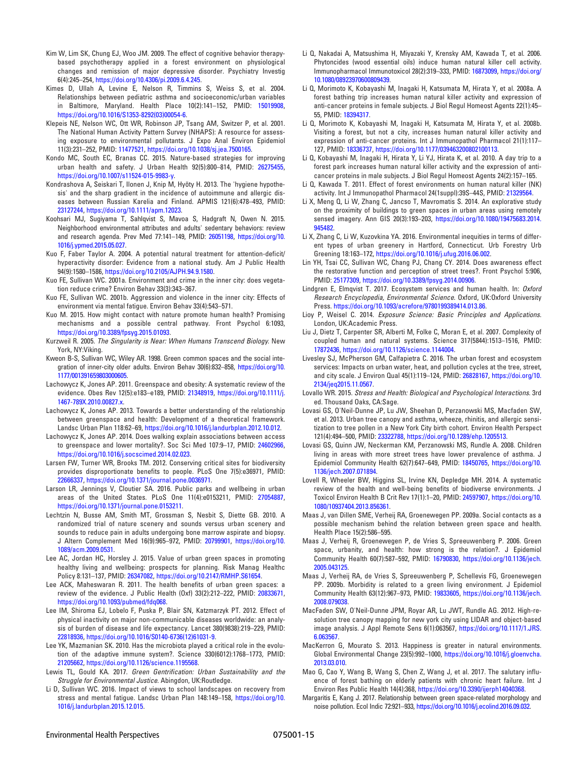- <span id="page-14-3"></span>Kim W, Lim SK, Chung EJ, Woo JM. 2009. The effect of cognitive behavior therapybased psychotherapy applied in a forest environment on physiological changes and remission of major depressive disorder. Psychiatry Investig 6(4):245–254, [https://doi.org/10.4306/pi.2009.6.4.245.](https://doi.org/10.4306/pi.2009.6.4.245)
- <span id="page-14-33"></span>Kimes D, Ullah A, Levine E, Nelson R, Timmins S, Weiss S, et al. 2004. Relationships between pediatric asthma and socioeconomic/urban variables in Baltimore, Maryland. Health Place 10(2):141–152, PMID: [15019908](https://www.ncbi.nlm.nih.gov/pubmed/15019908), [https://doi.org/10.1016/S1353-8292\(03\)00054-6](https://doi.org/10.1016/S1353-8292(03)00054-6).
- <span id="page-14-0"></span>Klepeis NE, Nelson WC, Ott WR, Robinson JP, Tsang AM, Switzer P, et al. 2001. The National Human Activity Pattern Survey (NHAPS): A resource for assessing exposure to environmental pollutants. J Expo Anal Environ Epidemiol 11(3):231–252, PMID: [11477521](https://www.ncbi.nlm.nih.gov/pubmed/11477521), <https://doi.org/10.1038/sj.jea.7500165>.
- <span id="page-14-46"></span>Kondo MC, South EC, Branas CC. 2015. Nature-based strategies for improving urban health and safety. J Urban Health 92(5):800–814, PMID: [26275455](https://www.ncbi.nlm.nih.gov/pubmed/26275455), <https://doi.org/10.1007/s11524-015-9983-y>.
- <span id="page-14-25"></span>Kondrashova A, Seiskari T, Ilonen J, Knip M, Hyöty H. 2013. The 'hygiene hypothesis' and the sharp gradient in the incidence of autoimmune and allergic diseases between Russian Karelia and Finland. APMIS 121(6):478–493, PMID: [23127244,](https://www.ncbi.nlm.nih.gov/pubmed/23127244) <https://doi.org/10.1111/apm.12023>.
- <span id="page-14-29"></span>Koohsari MJ, Sugiyama T, Sahlqvist S, Mavoa S, Hadgraft N, Owen N. 2015. Neighborhood environmental attributes and adults' sedentary behaviors: review and research agenda. Prev Med 77:141–149, PMID: [26051198](https://www.ncbi.nlm.nih.gov/pubmed/26051198), [https://doi.org/10.](https://doi.org/10.1016/j.ypmed.2015.05.027) [1016/j.ypmed.2015.05.027](https://doi.org/10.1016/j.ypmed.2015.05.027).
- <span id="page-14-9"></span>Kuo F, Faber Taylor A. 2004. A potential natural treatment for attention-deficit/ hyperactivity disorder: Evidence from a national study. Am J Public Health 94(9):1580–1586, [https://doi.org/10.2105/AJPH.94.9.1580.](https://doi.org/10.2105/AJPH.94.9.1580)
- <span id="page-14-7"></span>Kuo FE, Sullivan WC. 2001a. Environment and crime in the inner city: does vegetation reduce crime? Environ Behav 33(3):343–367.
- <span id="page-14-8"></span>Kuo FE, Sullivan WC. 2001b. Aggression and violence in the inner city: Effects of environment via mental fatigue. Environ Behav 33(4):543–571.
- <span id="page-14-24"></span>Kuo M. 2015. How might contact with nature promote human health? Promising mechanisms and a possible central pathway. Front Psychol 6:1093, <https://doi.org/10.3389/fpsyg.2015.01093>.
- <span id="page-14-43"></span>Kurzweil R. 2005. The Singularity is Near: When Humans Transcend Biology. New York, NY:Viking.
- <span id="page-14-32"></span>Kweon B-S, Sullivan WC, Wiley AR. 1998. Green common spaces and the social integration of inner-city older adults. Environ Behav 30(6):832–858, [https://doi.org/10.](https://doi.org/10.1177/001391659803000605) [1177/001391659803000605.](https://doi.org/10.1177/001391659803000605)
- <span id="page-14-12"></span>Lachowycz K, Jones AP. 2011. Greenspace and obesity: A systematic review of the evidence. Obes Rev 12(5):e183–e189, PMID: [21348919](https://www.ncbi.nlm.nih.gov/pubmed/21348919), [https://doi.org/10.1111/j.](https://doi.org/10.1111/j.1467-789X.2010.00827.x) [1467-789X.2010.00827.x](https://doi.org/10.1111/j.1467-789X.2010.00827.x).
- <span id="page-14-21"></span>Lachowycz K, Jones AP. 2013. Towards a better understanding of the relationship between greenspace and health: Development of a theoretical framework. Landsc Urban Plan 118:62–69, [https://doi.org/10.1016/j.landurbplan.2012.10.012.](https://doi.org/10.1016/j.landurbplan.2012.10.012)
- <span id="page-14-41"></span>Lachowycz K, Jones AP. 2014. Does walking explain associations between access to greenspace and lower mortality?. Soc Sci Med 107:9–17, PMID: [24602966](https://www.ncbi.nlm.nih.gov/pubmed/24602966), [https://doi.org/10.1016/j.socscimed.2014.02.023.](https://doi.org/10.1016/j.socscimed.2014.02.023)
- <span id="page-14-45"></span>Larsen FW, Turner WR, Brooks TM. 2012. Conserving critical sites for biodiversity provides disproportionate benefits to people. PLoS One 7(5):e36971, PMID: [22666337,](https://www.ncbi.nlm.nih.gov/pubmed/22666337) [https://doi.org/10.1371/journal.pone.0036971.](https://doi.org/10.1371/journal.pone.0036971)
- <span id="page-14-5"></span>Larson LR, Jennings V, Cloutier SA. 2016. Public parks and wellbeing in urban areas of the United States. PLoS One 11(4):e0153211, PMID: [27054887](https://www.ncbi.nlm.nih.gov/pubmed/27054887), <https://doi.org/10.1371/journal.pone.0153211>.
- <span id="page-14-11"></span>Lechtzin N, Busse AM, Smith MT, Grossman S, Nesbit S, Diette GB. 2010. A randomized trial of nature scenery and sounds versus urban scenery and sounds to reduce pain in adults undergoing bone marrow aspirate and biopsy. J Altern Complement Med 16(9):965–972, PMID: [20799901](https://www.ncbi.nlm.nih.gov/pubmed/20799901), [https://doi.org/10.](https://doi.org/10.1089/acm.2009.0531) [1089/acm.2009.0531](https://doi.org/10.1089/acm.2009.0531).
- <span id="page-14-30"></span>Lee AC, Jordan HC, Horsley J. 2015. Value of urban green spaces in promoting healthy living and wellbeing: prospects for planning. Risk Manag Healthc Policy 8:131–137, PMID: [26347082](https://www.ncbi.nlm.nih.gov/pubmed/26347082), [https://doi.org/10.2147/RMHP.S61654.](https://doi.org/10.2147/RMHP.S61654)
- <span id="page-14-1"></span>Lee ACK, Maheswaran R. 2011. The health benefits of urban green spaces: a review of the evidence. J Public Health (Oxf) 33(2):212–222, PMID: [20833671](https://www.ncbi.nlm.nih.gov/pubmed/20833671), [https://doi.org/10.1093/pubmed/fdq068.](https://doi.org/10.1093/pubmed/fdq068)
- <span id="page-14-28"></span>Lee IM, Shiroma EJ, Lobelo F, Puska P, Blair SN, Katzmarzyk PT. 2012. Effect of physical inactivity on major non-communicable diseases worldwide: an analysis of burden of disease and life expectancy. Lancet 380(9838):219–229, PMID: [22818936,](https://www.ncbi.nlm.nih.gov/pubmed/22818936) [https://doi.org/10.1016/S0140-6736\(12\)61031-9.](https://doi.org/10.1016/S0140-6736(12)61031-9)
- <span id="page-14-26"></span>Lee YK, Mazmanian SK. 2010. Has the microbiota played a critical role in the evolution of the adaptive immune system?. Science 330(6012):1768–1773, PMID: [21205662,](https://www.ncbi.nlm.nih.gov/pubmed/21205662) [https://doi.org/10.1126/science.1195568.](https://doi.org/10.1126/science.1195568)
- <span id="page-14-42"></span>Lewis TL, Gould KA. 2017. Green Gentrification: Urban Sustainability and the Struggle for Environmental Justice. Abingdon, UK:Routledge.
- <span id="page-14-23"></span>Li D, Sullivan WC. 2016. Impact of views to school landscapes on recovery from stress and mental fatigue. Landsc Urban Plan 148:149–158, [https://doi.org/10.](https://doi.org/10.1016/j.landurbplan.2015.12.015) [1016/j.landurbplan.2015.12.015](https://doi.org/10.1016/j.landurbplan.2015.12.015).
- <span id="page-14-27"></span>Li Q, Nakadai A, Matsushima H, Miyazaki Y, Krensky AM, Kawada T, et al. 2006. Phytoncides (wood essential oils) induce human natural killer cell activity. Immunopharmacol Immunotoxicol 28(2):319–333, PMID: [16873099,](https://www.ncbi.nlm.nih.gov/pubmed/16873099) [https://doi.org/](https://doi.org/10.1080/08923970600809439) [10.1080/08923970600809439.](https://doi.org/10.1080/08923970600809439)
- <span id="page-14-13"></span>Li Q, Morimoto K, Kobayashi M, Inagaki H, Katsumata M, Hirata Y, et al. 2008a. A forest bathing trip increases human natural killer activity and expression of anti-cancer proteins in female subjects. J Biol Regul Homeost Agents 22(1):45– 55, PMID: [18394317](https://www.ncbi.nlm.nih.gov/pubmed/18394317).
- <span id="page-14-14"></span>Li Q, Morimoto K, Kobayashi M, Inagaki H, Katsumata M, Hirata Y, et al. 2008b. Visiting a forest, but not a city, increases human natural killer activity and expression of anti-cancer proteins. Int J Immunopathol Pharmacol 21(1):117– 127, PMID: [18336737,](https://www.ncbi.nlm.nih.gov/pubmed/18336737) <https://doi.org/10.1177/039463200802100113>.
- <span id="page-14-15"></span>Li Q, Kobayashi M, Inagaki H, Hirata Y, Li YJ, Hirata K, et al. 2010. A day trip to a forest park increases human natural killer activity and the expression of anticancer proteins in male subjects. J Biol Regul Homeost Agents 24(2):157–165.
- <span id="page-14-16"></span>Li Q, Kawada T. 2011. Effect of forest environments on human natural killer (NK) activity. Int J Immunopathol Pharmacol 24(1suppl):39S–44S, PMID: [21329564](https://www.ncbi.nlm.nih.gov/pubmed/21329564).
- <span id="page-14-17"></span>Li X, Meng Q, Li W, Zhang C, Jancso T, Mavromatis S. 2014. An explorative study on the proximity of buildings to green spaces in urban areas using remotely sensed imagery. Ann GIS 20(3):193–203, [https://doi.org/10.1080/19475683.2014.](https://doi.org/10.1080/19475683.2014.945482) [945482.](https://doi.org/10.1080/19475683.2014.945482)
- <span id="page-14-38"></span>Li X, Zhang C, Li W, Kuzovkina YA. 2016. Environmental inequities in terms of different types of urban greenery in Hartford, Connecticut. Urb Forestry Urb Greening 18:163–172, <https://doi.org/10.1016/j.ufug.2016.06.002>.
- <span id="page-14-39"></span>Lin YH, Tsai CC, Sullivan WC, Chang PJ, Chang CY. 2014. Does awareness effect the restorative function and perception of street trees?. Front Psychol 5:906, PMID: [25177309](https://www.ncbi.nlm.nih.gov/pubmed/25177309), <https://doi.org/10.3389/fpsyg.2014.00906>.
- <span id="page-14-44"></span>Lindgren E, Elmqvist T. 2017. Ecosystem services and human health. In: Oxford Research Encyclopedia, Environmental Science. Oxford, UK:Oxford University Press. <https://doi.org/10.1093/acrefore/9780199389414.013.86>.
- <span id="page-14-36"></span>Lioy P, Weisel C. 2014. Exposure Science: Basic Principles and Applications. London, UK:Academic Press.
- <span id="page-14-2"></span>Liu J, Dietz T, Carpenter SR, Alberti M, Folke C, Moran E, et al. 2007. Complexity of coupled human and natural systems. Science 317(5844):1513–1516, PMID: [17872436,](https://www.ncbi.nlm.nih.gov/pubmed/17872436) [https://doi.org/10.1126/science.1144004.](https://doi.org/10.1126/science.1144004)
- <span id="page-14-34"></span>Livesley SJ, McPherson GM, Calfapietra C. 2016. The urban forest and ecosystem services: Impacts on urban water, heat, and pollution cycles at the tree, street, and city scale. J Environ Qual 45(1):119–124, PMID: [26828167,](https://www.ncbi.nlm.nih.gov/pubmed/26828167) [https://doi.org/10.](https://doi.org/10.2134/jeq2015.11.0567) [2134/jeq2015.11.0567](https://doi.org/10.2134/jeq2015.11.0567).
- <span id="page-14-22"></span>Lovallo WR. 2015. Stress and Health: Biological and Psychological Interactions. 3rd ed. Thousand Oaks, CA:Sage.
- <span id="page-14-20"></span>Lovasi GS, O'Neil-Dunne JP, Lu JW, Sheehan D, Perzanowski MS, Macfaden SW, et al. 2013. Urban tree canopy and asthma, wheeze, rhinitis, and allergic sensitization to tree pollen in a New York City birth cohort. Environ Health Perspect 121(4):494–500, PMID: [23322788](https://www.ncbi.nlm.nih.gov/pubmed/23322788), <https://doi.org/10.1289/ehp.1205513>.
- <span id="page-14-19"></span>Lovasi GS, Quinn JW, Neckerman KM, Perzanowski MS, Rundle A. 2008. Children living in areas with more street trees have lower prevalence of asthma. J Epidemiol Community Health 62(7):647–649, PMID: [18450765,](https://www.ncbi.nlm.nih.gov/pubmed/18450765) [https://doi.org/10.](https://doi.org/10.1136/jech.2007.071894) [1136/jech.2007.071894.](https://doi.org/10.1136/jech.2007.071894)
- <span id="page-14-40"></span>Lovell R, Wheeler BW, Higgins SL, Irvine KN, Depledge MH. 2014. A systematic review of the health and well-being benefits of biodiverse environments. J Toxicol Environ Health B Crit Rev 17(1):1–20, PMID: [24597907,](https://www.ncbi.nlm.nih.gov/pubmed/24597907) [https://doi.org/10.](https://doi.org/10.1080/10937404.2013.856361) [1080/10937404.2013.856361](https://doi.org/10.1080/10937404.2013.856361).
- <span id="page-14-18"></span>Maas J, van Dillen SME, Verheij RA, Groenewegen PP. 2009a. Social contacts as a possible mechanism behind the relation between green space and health. Health Place 15(2):586–595.
- <span id="page-14-31"></span>Maas J, Verheij R, Groenewegen P, de Vries S, Spreeuwenberg P. 2006. Green space, urbanity, and health: how strong is the relation?. J Epidemiol Community Health 60(7):587–592, PMID: [16790830,](https://www.ncbi.nlm.nih.gov/pubmed/16790830) [https://doi.org/10.1136/jech.](https://doi.org/10.1136/jech.2005.043125) [2005.043125.](https://doi.org/10.1136/jech.2005.043125)
- <span id="page-14-4"></span>Maas J, Verheij RA, de Vries S, Spreeuwenberg P, Schellevis FG, Groenewegen PP. 2009b. Morbidity is related to a green living environment. J Epidemiol Community Health 63(12):967–973, PMID: [19833605](https://www.ncbi.nlm.nih.gov/pubmed/19833605), [https://doi.org/10.1136/jech.](https://doi.org/10.1136/jech.2008.079038) [2008.079038.](https://doi.org/10.1136/jech.2008.079038)
- <span id="page-14-37"></span>MacFaden SW, O'Neil-Dunne JPM, Royar AR, Lu JWT, Rundle AG. 2012. High-resolution tree canopy mapping for new york city using LIDAR and object-based image analysis. J Appl Remote Sens 6(1):063567, [https://doi.org/10.1117/1.JRS.](https://doi.org/10.1117/1.JRS.6.063567) [6.063567.](https://doi.org/10.1117/1.JRS.6.063567)
- <span id="page-14-6"></span>MacKerron G, Mourato S. 2013. Happiness is greater in natural environments. Global Environmental Change 23(5):992–1000, [https://doi.org/10.1016/j.gloenvcha.](https://doi.org/10.1016/j.gloenvcha.2013.03.010) [2013.03.010.](https://doi.org/10.1016/j.gloenvcha.2013.03.010)
- <span id="page-14-10"></span>Mao G, Cao Y, Wang B, Wang S, Chen Z, Wang J, et al. 2017. The salutary influence of forest bathing on elderly patients with chronic heart failure. Int J Environ Res Public Health 14(4):368, <https://doi.org/10.3390/ijerph14040368>.
- <span id="page-14-35"></span>Margaritis E, Kang J. 2017. Relationship between green space-related morphology and noise pollution. Ecol Indic 72:921–933, [https://doi.org/10.1016/j.ecolind.2016.09.032.](https://doi.org/10.1016/j.ecolind.2016.09.032)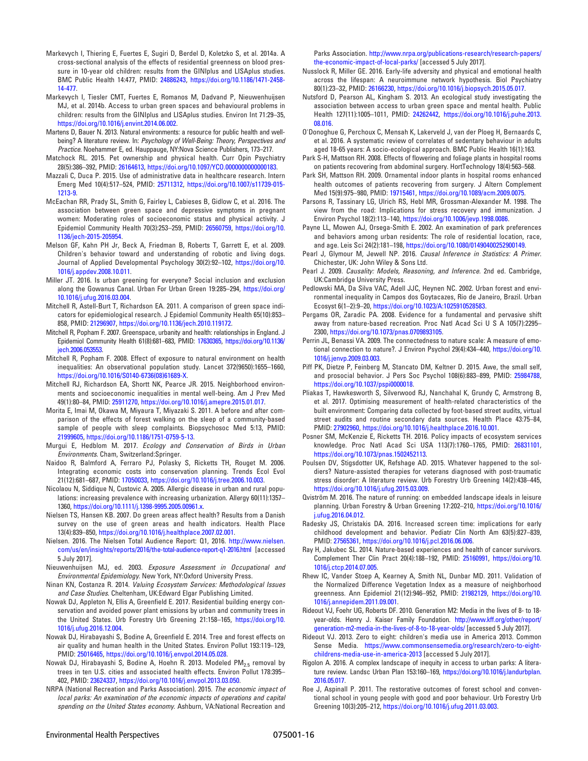- <span id="page-15-10"></span>Markevych I, Thiering E, Fuertes E, Sugiri D, Berdel D, Koletzko S, et al. 2014a. A cross-sectional analysis of the effects of residential greenness on blood pressure in 10-year old children: results from the GINIplus and LISAplus studies. BMC Public Health 14:477, PMID: [24886243,](https://www.ncbi.nlm.nih.gov/pubmed/24886243) [https://doi.org/10.1186/1471-2458-](https://doi.org/10.1186/1471-2458-14-477) [14-477](https://doi.org/10.1186/1471-2458-14-477).
- <span id="page-15-12"></span>Markevych I, Tiesler CMT, Fuertes E, Romanos M, Dadvand P, Nieuwenhuijsen MJ, et al. 2014b. Access to urban green spaces and behavioural problems in children: results from the GINIplus and LISAplus studies. Environ Int 71:29–35, [https://doi.org/10.1016/j.envint.2014.06.002.](https://doi.org/10.1016/j.envint.2014.06.002)
- <span id="page-15-4"></span>Martens D, Bauer N. 2013. Natural environments: a resource for public health and wellbeing? A literature review. In: Psychology of Well-Being: Theory, Perspectives and Practice. Noehammer E, ed. Hauppauge, NY:Nova Science Publishers, 173–217.
- <span id="page-15-5"></span>Matchock RL. 2015. Pet ownership and physical health. Curr Opin Psychiatry 28(5):386–392, PMID: [26164613](https://www.ncbi.nlm.nih.gov/pubmed/26164613), [https://doi.org/10.1097/YCO.0000000000000183.](https://doi.org/10.1097/YCO.0000000000000183)
- <span id="page-15-29"></span>Mazzali C, Duca P. 2015. Use of administrative data in healthcare research. Intern Emerg Med 10(4):517–524, PMID: [25711312,](https://www.ncbi.nlm.nih.gov/pubmed/25711312) [https://doi.org/10.1007/s11739-015-](https://doi.org/10.1007/s11739-015-1213-9) [1213-9](https://doi.org/10.1007/s11739-015-1213-9).
- <span id="page-15-8"></span>McEachan RR, Prady SL, Smith G, Fairley L, Cabieses B, Gidlow C, et al. 2016. The association between green space and depressive symptoms in pregnant women: Moderating roles of socioeconomic status and physical activity. J Epidemiol Community Health 70(3):253–259, PMID: [26560759,](https://www.ncbi.nlm.nih.gov/pubmed/26560759) [https://doi.org/10.](https://doi.org/10.1136/jech-2015-205954) [1136/jech-2015-205954](https://doi.org/10.1136/jech-2015-205954).
- <span id="page-15-40"></span>Melson GF, Kahn PH Jr, Beck A, Friedman B, Roberts T, Garrett E, et al. 2009. Children's behavior toward and understanding of robotic and living dogs. Journal of Applied Developmental Psychology 30(2):92–102, [https://doi.org/10.](https://doi.org/10.1016/j.appdev.2008.10.011) [1016/j.appdev.2008.10.011](https://doi.org/10.1016/j.appdev.2008.10.011).
- <span id="page-15-38"></span>Miller JT. 2016. Is urban greening for everyone? Social inclusion and exclusion along the Gowanus Canal. Urban For Urban Green 19:285–294, [https://doi.org/](https://doi.org/10.1016/j.ufug.2016.03.004) [10.1016/j.ufug.2016.03.004](https://doi.org/10.1016/j.ufug.2016.03.004).
- <span id="page-15-35"></span>Mitchell R, Astell-Burt T, Richardson EA. 2011. A comparison of green space indicators for epidemiological research. J Epidemiol Community Health 65(10):853– 858, PMID: [21296907,](https://www.ncbi.nlm.nih.gov/pubmed/21296907) [https://doi.org/10.1136/jech.2010.119172.](https://doi.org/10.1136/jech.2010.119172)
- <span id="page-15-36"></span>Mitchell R, Popham F. 2007. Greenspace, urbanity and health: relationships in England. J Epidemiol Community Health 61(8):681–683, PMID: [17630365,](https://www.ncbi.nlm.nih.gov/pubmed/17630365) [https://doi.org/10.1136/](https://doi.org/10.1136/jech.2006.053553) [jech.2006.053553](https://doi.org/10.1136/jech.2006.053553).
- <span id="page-15-25"></span>Mitchell R, Popham F. 2008. Effect of exposure to natural environment on health inequalities: An observational population study. Lancet 372(9650):1655–1660, [https://doi.org/10.1016/S0140-6736\(08\)61689-X](https://doi.org/10.1016/S0140-6736(08)61689-X).
- <span id="page-15-37"></span>Mitchell RJ, Richardson EA, Shortt NK, Pearce JR. 2015. Neighborhood environments and socioeconomic inequalities in mental well-being. Am J Prev Med 49(1):80–84, PMID: [25911270](https://www.ncbi.nlm.nih.gov/pubmed/25911270), <https://doi.org/10.1016/j.amepre.2015.01.017>.
- <span id="page-15-7"></span>Morita E, Imai M, Okawa M, Miyaura T, Miyazaki S. 2011. A before and after comparison of the effects of forest walking on the sleep of a community-based sample of people with sleep complaints. Biopsychosoc Med 5:13, PMID: [21999605,](https://www.ncbi.nlm.nih.gov/pubmed/21999605) <https://doi.org/10.1186/1751-0759-5-13>.
- <span id="page-15-23"></span>Murgui E, Hedblom M. 2017. Ecology and Conservation of Birds in Urban Environments. Cham, Switzerland:Springer.
- <span id="page-15-43"></span>Naidoo R, Balmford A, Ferraro PJ, Polasky S, Ricketts TH, Rouget M. 2006. Integrating economic costs into conservation planning. Trends Ecol Evol 21(12):681–687, PMID: [17050033](https://www.ncbi.nlm.nih.gov/pubmed/17050033), <https://doi.org/10.1016/j.tree.2006.10.003>.
- <span id="page-15-17"></span>Nicolaou N, Siddique N, Custovic A. 2005. Allergic disease in urban and rural populations: increasing prevalence with increasing urbanization. Allergy 60(11):1357– 1360, <https://doi.org/10.1111/j.1398-9995.2005.00961.x>.
- <span id="page-15-2"></span>Nielsen TS, Hansen KB. 2007. Do green areas affect health? Results from a Danish survey on the use of green areas and health indicators. Health Place 13(4):839–850, <https://doi.org/10.1016/j.healthplace.2007.02.001>.
- <span id="page-15-6"></span>Nielsen. 2016. The Nielsen Total Audience Report: Q1, 2016. [http://www.nielsen.](http://www.nielsen.com/us/en/insights/reports/2016/the-total-audience-report-q1-2016.html) [com/us/en/insights/reports/2016/the-total-audience-report-q1-2016.html](http://www.nielsen.com/us/en/insights/reports/2016/the-total-audience-report-q1-2016.html) [accessed 5 July 2017].
- <span id="page-15-24"></span>Nieuwenhuijsen MJ, ed. 2003. Exposure Assessment in Occupational and Environmental Epidemiology. New York, NY:Oxford University Press.
- <span id="page-15-41"></span>Ninan KN, Costanza R. 2014. Valuing Ecosystem Services: Methodological Issues and Case Studies. Cheltenham, UK:Edward Elgar Publishing Limited.
- <span id="page-15-20"></span>Nowak DJ, Appleton N, Ellis A, Greenfield E. 2017. Residential building energy conservation and avoided power plant emissions by urban and community trees in the United States. Urb Forestry Urb Greening 21:158–165, [https://doi.org/10.](https://doi.org/10.1016/j.ufug.2016.12.004) [1016/j.ufug.2016.12.004.](https://doi.org/10.1016/j.ufug.2016.12.004)
- <span id="page-15-21"></span>Nowak DJ, Hirabayashi S, Bodine A, Greenfield E. 2014. Tree and forest effects on air quality and human health in the United States. Environ Pollut 193:119–129, PMID: [25016465](https://www.ncbi.nlm.nih.gov/pubmed/25016465), [https://doi.org/10.1016/j.envpol.2014.05.028.](https://doi.org/10.1016/j.envpol.2014.05.028)
- <span id="page-15-22"></span>Nowak DJ, Hirabayashi S, Bodine A, Hoehn R. 2013. Modeled PM<sub>2.5</sub> removal by trees in ten U.S. cities and associated health effects. Environ Pollut 178:395– 402, PMID: [23624337,](https://www.ncbi.nlm.nih.gov/pubmed/23624337) <https://doi.org/10.1016/j.envpol.2013.03.050>.
- <span id="page-15-42"></span>NRPA (National Recreation and Parks Association). 2015. The economic impact of local parks: An examination of the economic impacts of operations and capital spending on the United States economy. Ashburn, VA:National Recreation and

Parks Association. [http://www.nrpa.org/publications-research/research-papers/](http://www.nrpa.org/publications-research/research-papers/the-economic-impact-of-local-parks/) [the-economic-impact-of-local-parks/](http://www.nrpa.org/publications-research/research-papers/the-economic-impact-of-local-parks/) [accessed 5 July 2017].

- <span id="page-15-18"></span>Nusslock R, Miller GE. 2016. Early-life adversity and physical and emotional health across the lifespan: A neuroimmune network hypothesis. Biol Psychiatry 80(1):23–32, PMID: [26166230](https://www.ncbi.nlm.nih.gov/pubmed/26166230), <https://doi.org/10.1016/j.biopsych.2015.05.017>.
- <span id="page-15-9"></span>Nutsford D, Pearson AL, Kingham S. 2013. An ecological study investigating the association between access to urban green space and mental health. Public Health 127(11):1005–1011, PMID: [24262442,](https://www.ncbi.nlm.nih.gov/pubmed/24262442) [https://doi.org/10.1016/j.puhe.2013.](https://doi.org/10.1016/j.puhe.2013.08.016) [08.016](https://doi.org/10.1016/j.puhe.2013.08.016).
- <span id="page-15-19"></span>O'Donoghue G, Perchoux C, Mensah K, Lakerveld J, van der Ploeg H, Bernaards C, et al. 2016. A systematic review of correlates of sedentary behaviour in adults aged 18-65 years: A socio-ecological approach. BMC Public Health 16(1):163.
- <span id="page-15-13"></span>Park S-H, Mattson RH. 2008. Effects of flowering and foliage plants in hospital rooms on patients recovering from abdominal surgery. HortTechnology 18(4):563–568.
- <span id="page-15-14"></span>Park SH, Mattson RH. 2009. Ornamental indoor plants in hospital rooms enhanced health outcomes of patients recovering from surgery. J Altern Complement Med 15(9):975–980, PMID: [19715461,](https://www.ncbi.nlm.nih.gov/pubmed/19715461) <https://doi.org/10.1089/acm.2009.0075>.
- <span id="page-15-16"></span>Parsons R, Tassinary LG, Ulrich RS, Hebl MR, Grossman-Alexander M. 1998. The view from the road: Implications for stress recovery and immunization. J Environ Psychol 18(2):113–140, <https://doi.org/10.1006/jevp.1998.0086>.
- <span id="page-15-34"></span>Payne LL, Mowen AJ, Orsega-Smith E. 2002. An examination of park preferences and behaviors among urban residents: The role of residential location, race, and age. Leis Sci 24(2):181–198, [https://doi.org/10.1080/01490400252900149.](https://doi.org/10.1080/01490400252900149)
- <span id="page-15-30"></span>Pearl J, Glymour M, Jewell NP. 2016. Causal Inference in Statistics: A Primer. Chichester, UK: John Wiley & Sons Ltd.
- <span id="page-15-31"></span>Pearl J. 2009. Causality: Models, Reasoning, and Inference. 2nd ed. Cambridge, UK:Cambridge University Press.
- <span id="page-15-32"></span>Pedlowski MA, Da Silva VAC, Adell JJC, Heynen NC. 2002. Urban forest and environmental inequality in Campos dos Goytacazes, Rio de Janeiro, Brazil. Urban Ecosyst 6(1–2):9–20, <https://doi.org/10.1023/A:1025910528583>.
- <span id="page-15-3"></span>Pergams OR, Zaradic PA. 2008. Evidence for a fundamental and pervasive shift away from nature-based recreation. Proc Natl Acad Sci U S A 105(7):2295– 2300, <https://doi.org/10.1073/pnas.0709893105>.
- <span id="page-15-28"></span>Perrin JL, Benassi VA. 2009. The connectedness to nature scale: A measure of emotional connection to nature?. J Environ Psychol 29(4):434–440, [https://doi.org/10.](https://doi.org/10.1016/j.jenvp.2009.03.003) [1016/j.jenvp.2009.03.003](https://doi.org/10.1016/j.jenvp.2009.03.003).
- <span id="page-15-11"></span>Piff PK, Dietze P, Feinberg M, Stancato DM, Keltner D. 2015. Awe, the small self, and prosocial behavior. J Pers Soc Psychol 108(6):883–899, PMID: [25984788](https://www.ncbi.nlm.nih.gov/pubmed/25984788), [https://doi.org/10.1037/pspi0000018.](https://doi.org/10.1037/pspi0000018)
- <span id="page-15-27"></span>Pliakas T, Hawkesworth S, Silverwood RJ, Nanchahal K, Grundy C, Armstrong B, et al. 2017. Optimising measurement of health-related characteristics of the built environment: Comparing data collected by foot-based street audits, virtual street audits and routine secondary data sources. Health Place 43:75–84, PMID: [27902960](https://www.ncbi.nlm.nih.gov/pubmed/27902960), <https://doi.org/10.1016/j.healthplace.2016.10.001>.
- <span id="page-15-44"></span>Posner SM, McKenzie E, Ricketts TH. 2016. Policy impacts of ecosystem services knowledge. Proc Natl Acad Sci USA 113(7):1760–1765, PMID: [26831101](https://www.ncbi.nlm.nih.gov/pubmed/26831101), [https://doi.org/10.1073/pnas.1502452113.](https://doi.org/10.1073/pnas.1502452113)
- <span id="page-15-47"></span>Poulsen DV, Stigsdotter UK, Refshage AD. 2015. Whatever happened to the soldiers? Nature-assisted therapies for veterans diagnosed with post-traumatic stress disorder: A literature review. Urb Forestry Urb Greening 14(2):438–445, [https://doi.org/10.1016/j.ufug.2015.03.009.](https://doi.org/10.1016/j.ufug.2015.03.009)
- <span id="page-15-45"></span>Qviström M. 2016. The nature of running: on embedded landscape ideals in leisure planning. Urban Forestry & Urban Greening 17:202–210, [https://doi.org/10.1016/](https://doi.org/10.1016/j.ufug.2016.04.012) [j.ufug.2016.04.012](https://doi.org/10.1016/j.ufug.2016.04.012).
- <span id="page-15-39"></span>Radesky JS, Christakis DA. 2016. Increased screen time: implications for early childhood development and behavior. Pediatr Clin North Am 63(5):827–839, PMID: [27565361](https://www.ncbi.nlm.nih.gov/pubmed/27565361), <https://doi.org/10.1016/j.pcl.2016.06.006>.
- <span id="page-15-15"></span>Ray H, Jakubec SL. 2014. Nature-based experiences and health of cancer survivors. Complement Ther Clin Pract 20(4):188–192, PMID: [25160991](https://www.ncbi.nlm.nih.gov/pubmed/25160991), [https://doi.org/10.](https://doi.org/10.1016/j.ctcp.2014.07.005) [1016/j.ctcp.2014.07.005](https://doi.org/10.1016/j.ctcp.2014.07.005).
- <span id="page-15-26"></span>Rhew IC, Vander Stoep A, Kearney A, Smith NL, Dunbar MD. 2011. Validation of the Normalized Difference Vegetation Index as a measure of neighborhood greenness. Ann Epidemiol 21(12):946–952, PMID: [21982129](https://www.ncbi.nlm.nih.gov/pubmed/21982129), [https://doi.org/10.](https://doi.org/10.1016/j.annepidem.2011.09.001) [1016/j.annepidem.2011.09.001.](https://doi.org/10.1016/j.annepidem.2011.09.001)
- <span id="page-15-1"></span>Rideout VJ, Foehr UG, Roberts DF. 2010. Generation M2: Media in the lives of 8- to 18 year-olds. Henry J. Kaiser Family Foundation. [http://www.kff.org/other/report/](http://www.kff.org/other/report/generation-m2-media-in-the-lives-of-8-to-18-year-olds/) [generation-m2-media-in-the-lives-of-8-to-18-year-olds/](http://www.kff.org/other/report/generation-m2-media-in-the-lives-of-8-to-18-year-olds/) [accessed 5 July 2017].
- <span id="page-15-0"></span>Rideout VJ. 2013. Zero to eight: children's media use in America 2013. Common Sense Media. [https://www.commonsensemedia.org/research/zero-to-eight](https://www.commonsensemedia.org/research/zero-to-eight-childrens-media-use-in-america-2013)[childrens-media-use-in-america-2013](https://www.commonsensemedia.org/research/zero-to-eight-childrens-media-use-in-america-2013) [accessed 5 July 2017].
- <span id="page-15-33"></span>Rigolon A. 2016. A complex landscape of inequity in access to urban parks: A literature review. Landsc Urban Plan 153:160–169, [https://doi.org/10.1016/j.landurbplan.](https://doi.org/10.1016/j.landurbplan.2016.05.017) [2016.05.017.](https://doi.org/10.1016/j.landurbplan.2016.05.017)
- <span id="page-15-46"></span>Roe J, Aspinall P. 2011. The restorative outcomes of forest school and conventional school in young people with good and poor behaviour. Urb Forestry Urb Greening 10(3):205–212, [https://doi.org/10.1016/j.ufug.2011.03.003.](https://doi.org/10.1016/j.ufug.2011.03.003)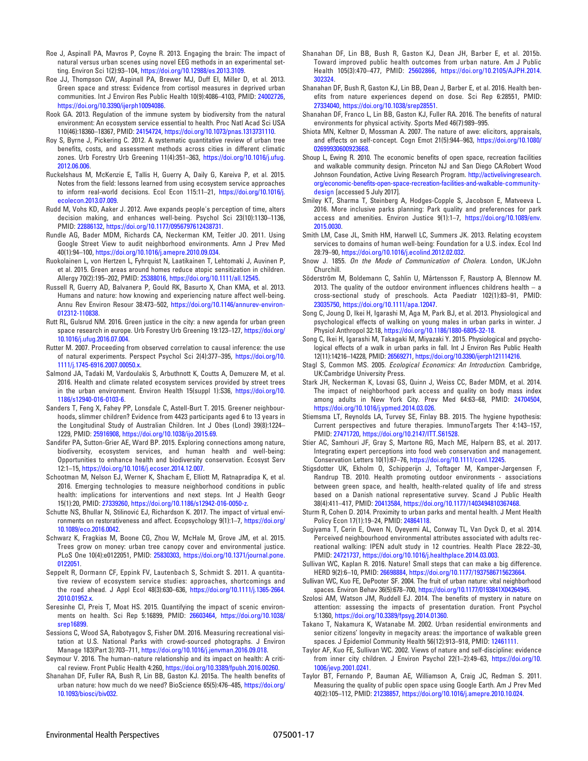- <span id="page-16-31"></span>Roe J, Aspinall PA, Mavros P, Coyne R. 2013. Engaging the brain: The impact of natural versus urban scenes using novel EEG methods in an experimental setting. Environ Sci 1(2):93–104, <https://doi.org/10.12988/es.2013.3109>.
- <span id="page-16-30"></span>Roe JJ, Thompson CW, Aspinall PA, Brewer MJ, Duff EI, Miller D, et al. 2013. Green space and stress: Evidence from cortisol measures in deprived urban communities. Int J Environ Res Public Health 10(9):4086–4103, PMID: [24002726](https://www.ncbi.nlm.nih.gov/pubmed/24002726), [https://doi.org/10.3390/ijerph10094086.](https://doi.org/10.3390/ijerph10094086)
- <span id="page-16-17"></span>Rook GA. 2013. Regulation of the immune system by biodiversity from the natural environment: An ecosystem service essential to health. Proc Natl Acad Sci USA 110(46):18360–18367, PMID: [24154724,](https://www.ncbi.nlm.nih.gov/pubmed/24154724) [https://doi.org/10.1073/pnas.1313731110.](https://doi.org/10.1073/pnas.1313731110)
- <span id="page-16-38"></span>Roy S, Byrne J, Pickering C. 2012. A systematic quantitative review of urban tree benefits, costs, and assessment methods across cities in different climatic zones. Urb Forestry Urb Greening 11(4):351–363, [https://doi.org/10.1016/j.ufug.](https://doi.org/10.1016/j.ufug.2012.06.006) [2012.06.006](https://doi.org/10.1016/j.ufug.2012.06.006).
- <span id="page-16-37"></span>Ruckelshaus M, McKenzie E, Tallis H, Guerry A, Daily G, Kareiva P, et al. 2015. Notes from the field: lessons learned from using ecosystem service approaches to inform real-world decisions. Ecol Econ 115:11–21, [https://doi.org/10.1016/j.](https://doi.org/10.1016/j.ecolecon.2013.07.009) [ecolecon.2013.07.009](https://doi.org/10.1016/j.ecolecon.2013.07.009).
- <span id="page-16-14"></span>Rudd M, Vohs KD, Aaker J. 2012. Awe expands people's perception of time, alters decision making, and enhances well-being. Psychol Sci 23(10):1130–1136, PMID: [22886132](https://www.ncbi.nlm.nih.gov/pubmed/22886132), [https://doi.org/10.1177/0956797612438731.](https://doi.org/10.1177/0956797612438731)
- <span id="page-16-22"></span>Rundle AG, Bader MDM, Richards CA, Neckerman KM, Teitler JO. 2011. Using Google Street View to audit neighborhood environments. Amn J Prev Med 40(1):94–100, [https://doi.org/10.1016/j.amepre.2010.09.034.](https://doi.org/10.1016/j.amepre.2010.09.034)
- <span id="page-16-11"></span>Ruokolainen L, von Hertzen L, Fyhrquist N, Laatikainen T, Lehtomaki J, Auvinen P, et al. 2015. Green areas around homes reduce atopic sensitization in children. Allergy 70(2):195–202, PMID: [25388016](https://www.ncbi.nlm.nih.gov/pubmed/25388016), <https://doi.org/10.1111/all.12545>.
- <span id="page-16-0"></span>Russell R, Guerry AD, Balvanera P, Gould RK, Basurto X, Chan KMA, et al. 2013. Humans and nature: how knowing and experiencing nature affect well-being. Annu Rev Environ Resour 38:473–502, [https://doi.org/10.1146/annurev-environ-](https://doi.org/10.1146/annurev-environ-012312-110838)[012312-110838](https://doi.org/10.1146/annurev-environ-012312-110838).
- <span id="page-16-34"></span>Rutt RL, Gulsrud NM. 2016. Green justice in the city: a new agenda for urban green space research in europe. Urb Forestry Urb Greening 19:123–127, [https://doi.org/](https://doi.org/10.1016/j.ufug.2016.07.004) [10.1016/j.ufug.2016.07.004.](https://doi.org/10.1016/j.ufug.2016.07.004)
- <span id="page-16-29"></span>Rutter M. 2007. Proceeding from observed correlation to causal inference: the use of natural experiments. Perspect Psychol Sci 2(4):377–395, [https://doi.org/10.](https://doi.org/10.1111/j.1745-6916.2007.00050.x) [1111/j.1745-6916.2007.00050.x.](https://doi.org/10.1111/j.1745-6916.2007.00050.x)
- <span id="page-16-41"></span>Salmond JA, Tadaki M, Vardoulakis S, Arbuthnott K, Coutts A, Demuzere M, et al. 2016. Health and climate related ecosystem services provided by street trees in the urban environment. Environ Health 15(suppl 1):S36, [https://doi.org/10.](https://doi.org/10.1186/s12940-016-0103-6) [1186/s12940-016-0103-6](https://doi.org/10.1186/s12940-016-0103-6).
- <span id="page-16-8"></span>Sanders T, Feng X, Fahey PP, Lonsdale C, Astell-Burt T. 2015. Greener neighbourhoods, slimmer children? Evidence from 4423 participants aged 6 to 13 years in the Longitudinal Study of Australian Children. Int J Obes (Lond) 39(8):1224– 1229, PMID: [25916908,](https://www.ncbi.nlm.nih.gov/pubmed/25916908) [https://doi.org/10.1038/ijo.2015.69.](https://doi.org/10.1038/ijo.2015.69)
- <span id="page-16-42"></span>Sandifer PA, Sutton-Grier AE, Ward BP. 2015. Exploring connections among nature, biodiversity, ecosystem services, and human health and well-being: Opportunities to enhance health and biodiversity conservation. Ecosyst Serv 12:1–15, [https://doi.org/10.1016/j.ecoser.2014.12.007.](https://doi.org/10.1016/j.ecoser.2014.12.007)
- <span id="page-16-26"></span>Schootman M, Nelson EJ, Werner K, Shacham E, Elliott M, Ratnapradipa K, et al. 2016. Emerging technologies to measure neighborhood conditions in public health: implications for interventions and next steps. Int J Health Geogr 15(1):20, PMID: [27339260](https://www.ncbi.nlm.nih.gov/pubmed/27339260), <https://doi.org/10.1186/s12942-016-0050-z>.
- <span id="page-16-35"></span>Schutte NS, Bhullar N, Stilinović EJ, Richardson K. 2017. The impact of virtual environments on restorativeness and affect. Ecopsychology 9(1):1–7, [https://doi.org/](https://doi.org/10.1089/eco.2016.0042) [10.1089/eco.2016.0042](https://doi.org/10.1089/eco.2016.0042).
- <span id="page-16-32"></span>Schwarz K, Fragkias M, Boone CG, Zhou W, McHale M, Grove JM, et al. 2015. Trees grow on money: urban tree canopy cover and environmental justice. PLoS One 10(4):e0122051, PMID: [25830303,](https://www.ncbi.nlm.nih.gov/pubmed/25830303) [https://doi.org/10.1371/journal.pone.](https://doi.org/10.1371/journal.pone.0122051) [0122051](https://doi.org/10.1371/journal.pone.0122051).
- <span id="page-16-40"></span>Seppelt R, Dormann CF, Eppink FV, Lautenbach S, Schmidt S. 2011. A quantitative review of ecosystem service studies: approaches, shortcomings and the road ahead. J Appl Ecol 48(3):630–636, [https://doi.org/10.1111/j.1365-2664.](https://doi.org/10.1111/j.1365-2664.2010.01952.x) [2010.01952.x.](https://doi.org/10.1111/j.1365-2664.2010.01952.x)
- <span id="page-16-25"></span>Seresinhe CI, Preis T, Moat HS. 2015. Quantifying the impact of scenic environments on health. Sci Rep 5:16899, PMID: [26603464](https://www.ncbi.nlm.nih.gov/pubmed/26603464), [https://doi.org/10.1038/](https://doi.org/10.1038/srep16899) [srep16899.](https://doi.org/10.1038/srep16899)
- <span id="page-16-21"></span>Sessions C, Wood SA, Rabotyagov S, Fisher DM. 2016. Measuring recreational visitation at U.S. National Parks with crowd-sourced photographs. J Environ Manage 183(Part 3):703–711, [https://doi.org/10.1016/j.jenvman.2016.09.018.](https://doi.org/10.1016/j.jenvman.2016.09.018)
- <span id="page-16-1"></span>Seymour V. 2016. The human–nature relationship and its impact on health: A critical review. Front Public Health 4:260, [https://doi.org/10.3389/fpubh.2016.00260.](https://doi.org/10.3389/fpubh.2016.00260)
- <span id="page-16-45"></span>Shanahan DF, Fuller RA, Bush R, Lin BB, Gaston KJ. 2015a. The health benefits of urban nature: how much do we need? BioScience 65(5):476–485, [https://doi.org/](https://doi.org/10.1093/biosci/biv032) [10.1093/biosci/biv032.](https://doi.org/10.1093/biosci/biv032)
- <span id="page-16-12"></span>Shanahan DF, Lin BB, Bush R, Gaston KJ, Dean JH, Barber E, et al. 2015b. Toward improved public health outcomes from urban nature. Am J Public Health 105(3):470–477, PMID: [25602866](https://www.ncbi.nlm.nih.gov/pubmed/25602866), [https://doi.org/10.2105/AJPH.2014.](https://doi.org/10.2105/AJPH.2014.302324) [302324.](https://doi.org/10.2105/AJPH.2014.302324)
- <span id="page-16-19"></span>Shanahan DF, Bush R, Gaston KJ, Lin BB, Dean J, Barber E, et al. 2016. Health benefits from nature experiences depend on dose. Sci Rep 6:28551, PMID: [27334040,](https://www.ncbi.nlm.nih.gov/pubmed/27334040) <https://doi.org/10.1038/srep28551>.
- <span id="page-16-7"></span>Shanahan DF, Franco L, Lin BB, Gaston KJ, Fuller RA. 2016. The benefits of natural environments for physical activity. Sports Med 46(7):989–995.
- <span id="page-16-15"></span>Shiota MN, Keltner D, Mossman A. 2007. The nature of awe: elicitors, appraisals, and effects on self-concept. Cogn Emot 21(5):944–963, [https://doi.org/10.1080/](https://doi.org/10.1080/02699930600923668) [02699930600923668](https://doi.org/10.1080/02699930600923668).
- <span id="page-16-39"></span>Shoup L, Ewing R. 2010. The economic benefits of open space, recreation facilities and walkable community design. Princeton NJ and San Diego CA:Robert Wood Johnson Foundation, Active Living Research Program. [http://activelivingresearch.](http://activelivingresearch.org/economic-benefits-open-space-recreation-facilities-and-walkable-community-design) [org/economic-benefits-open-space-recreation-facilities-and-walkable-community](http://activelivingresearch.org/economic-benefits-open-space-recreation-facilities-and-walkable-community-design)[design](http://activelivingresearch.org/economic-benefits-open-space-recreation-facilities-and-walkable-community-design) [accessed 5 July 2017].
- <span id="page-16-33"></span>Smiley KT, Sharma T, Steinberg A, Hodges-Copple S, Jacobson E, Matveeva L. 2016. More inclusive parks planning: Park quality and preferences for park access and amenities. Environ Justice 9(1):1–7, [https://doi.org/10.1089/env.](https://doi.org/10.1089/env.2015.0030) [2015.0030](https://doi.org/10.1089/env.2015.0030).
- <span id="page-16-43"></span>Smith LM, Case JL, Smith HM, Harwell LC, Summers JK. 2013. Relating ecoystem services to domains of human well-being: Foundation for a U.S. index. Ecol Ind 28:79–90, <https://doi.org/10.1016/j.ecolind.2012.02.032>.
- <span id="page-16-28"></span>Snow J. 1855. On the Mode of Communication of Cholera. London, UK:John Churchill.
- <span id="page-16-44"></span>Söderström M, Boldemann C, Sahlin U, Mårtensson F, Raustorp A, Blennow M. 2013. The quality of the outdoor environment influences childrens health  $-$  a cross-sectional study of preschools. Acta Paediatr 102(1):83–91, PMID: [23035750,](https://www.ncbi.nlm.nih.gov/pubmed/23035750) [https://doi.org/10.1111/apa.12047.](https://doi.org/10.1111/apa.12047)
- <span id="page-16-4"></span>Song C, Joung D, Ikei H, Igarashi M, Aga M, Park BJ, et al. 2013. Physiological and psychological effects of walking on young males in urban parks in winter. J Physiol Anthropol 32:18, [https://doi.org/10.1186/1880-6805-32-18.](https://doi.org/10.1186/1880-6805-32-18)
- <span id="page-16-5"></span>Song C, Ikei H, Igarashi M, Takagaki M, Miyazaki Y. 2015. Physiological and psychological effects of a walk in urban parks in fall. Int J Environ Res Public Health 12(11):14216–14228, PMID: [26569271](https://www.ncbi.nlm.nih.gov/pubmed/26569271), <https://doi.org/10.3390/ijerph121114216>.
- <span id="page-16-36"></span>Stagl S, Common MS. 2005. Ecological Economics: An Introduction. Cambridge, UK:Cambridge University Press.
- <span id="page-16-9"></span>Stark JH, Neckerman K, Lovasi GS, Quinn J, Weiss CC, Bader MDM, et al. 2014. The impact of neighborhood park access and quality on body mass index among adults in New York City. Prev Med 64:63–68, PMID: [24704504](https://www.ncbi.nlm.nih.gov/pubmed/24704504), <https://doi.org/10.1016/j.ypmed.2014.03.026>.
- <span id="page-16-18"></span>Stiemsma LT, Reynolds LA, Turvey SE, Finlay BB. 2015. The hygiene hypothesis: Current perspectives and future therapies. ImmunoTargets Ther 4:143–157, PMID: [27471720](https://www.ncbi.nlm.nih.gov/pubmed/27471720), [https://doi.org/10.2147/ITT.S61528.](https://doi.org/10.2147/ITT.S61528)
- <span id="page-16-24"></span>Stier AC, Samhouri JF, Gray S, Martone RG, Mach ME, Halpern BS, et al. 2017. Integrating expert perceptions into food web conservation and management. Conservation Letters 10(1):67–76, <https://doi.org/10.1111/conl.12245>.
- <span id="page-16-2"></span>Stigsdotter UK, Ekholm O, Schipperijn J, Toftager M, Kamper-Jørgensen F, Randrup TB. 2010. Health promoting outdoor environments - associations between green space, and health, health-related quality of life and stress based on a Danish national representative survey. Scand J Public Health 38(4):411–417, PMID: [20413584](https://www.ncbi.nlm.nih.gov/pubmed/20413584), [https://doi.org/10.1177/1403494810367468.](https://doi.org/10.1177/1403494810367468)
- <span id="page-16-3"></span>Sturm R, Cohen D. 2014. Proximity to urban parks and mental health. J Ment Health Policy Econ 17(1):19–24, PMID: [24864118](https://www.ncbi.nlm.nih.gov/pubmed/24864118).
- <span id="page-16-20"></span>Sugiyama T, Cerin E, Owen N, Oyeyemi AL, Conway TL, Van Dyck D, et al. 2014. Perceived neighbourhood environmental attributes associated with adults recreational walking: IPEN adult study in 12 countries. Health Place 28:22–30, PMID: [24721737](https://www.ncbi.nlm.nih.gov/pubmed/24721737), <https://doi.org/10.1016/j.healthplace.2014.03.003>.
- <span id="page-16-6"></span>Sullivan WC, Kaplan R. 2016. Nature! Small steps that can make a big difference. HERD 9(2):6–10, PMID: [26698884,](https://www.ncbi.nlm.nih.gov/pubmed/26698884) <https://doi.org/10.1177/1937586715623664>.
- <span id="page-16-13"></span>Sullivan WC, Kuo FE, DePooter SF. 2004. The fruit of urban nature: vital neighborhood spaces. Environ Behav 36(5):678–700, <https://doi.org/10.1177/0193841X04264945>.
- <span id="page-16-16"></span>Szolosi AM, Watson JM, Ruddell EJ. 2014. The benefits of mystery in nature on attention: assessing the impacts of presentation duration. Front Psychol 5:1360, <https://doi.org/10.3389/fpsyg.2014.01360>.
- <span id="page-16-10"></span>Takano T, Nakamura K, Watanabe M. 2002. Urban residential environments and senior citizens' longevity in megacity areas: the importance of walkable green spaces. J Epidemiol Community Health 56(12):913–918, PMID: [12461111](https://www.ncbi.nlm.nih.gov/pubmed/12461111).
- <span id="page-16-27"></span>Taylor AF, Kuo FE, Sullivan WC. 2002. Views of nature and self-discipline: evidence from inner city children. J Environ Psychol 22(1–2):49–63, [https://doi.org/10.](https://doi.org/10.1006/jevp.2001.0241) [1006/jevp.2001.0241.](https://doi.org/10.1006/jevp.2001.0241)
- <span id="page-16-23"></span>Taylor BT, Fernando P, Bauman AE, Williamson A, Craig JC, Redman S. 2011. Measuring the quality of public open space using Google Earth. Am J Prev Med 40(2):105–112, PMID: [21238857](https://www.ncbi.nlm.nih.gov/pubmed/21238857), <https://doi.org/10.1016/j.amepre.2010.10.024>.